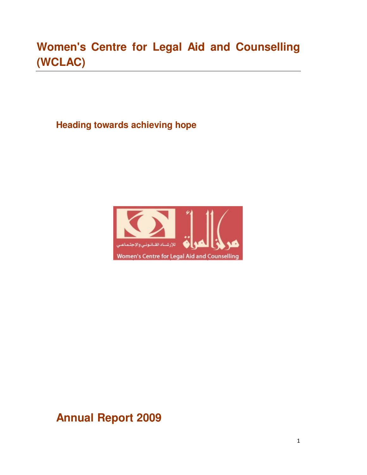# **Women's Centre for Legal Aid and Counselling (WCLAC)**

**Heading towards achieving hope** 



# **Annual Report 2009**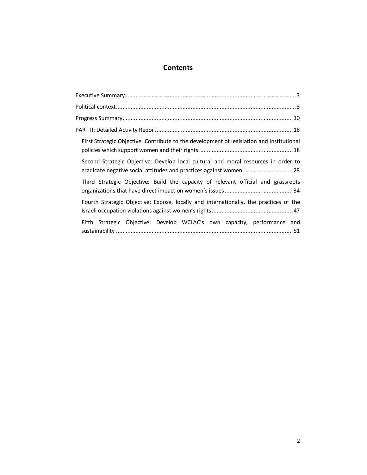# **Contents**

| First Strategic Objective: Contribute to the development of legislation and institutional                                                               |
|---------------------------------------------------------------------------------------------------------------------------------------------------------|
| Second Strategic Objective: Develop local cultural and moral resources in order to<br>eradicate negative social attitudes and practices against women28 |
| Third Strategic Objective: Build the capacity of relevant official and grassroots                                                                       |
| Fourth Strategic Objective: Expose, locally and internationally, the practices of the                                                                   |
| Fifth Strategic Objective: Develop WCLAC's own capacity, performance and                                                                                |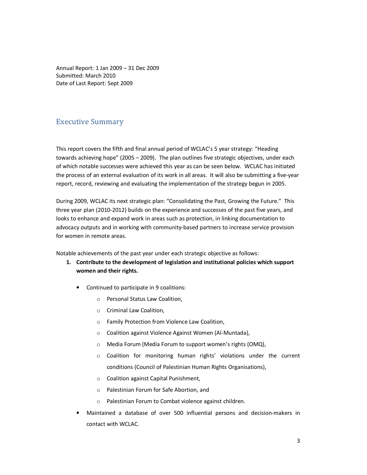Annual Report: 1 Jan 2009 – 31 Dec 2009 Submitted: March 2010 Date of Last Report: Sept 2009

## Executive Summary

This report covers the fifth and final annual period of WCLAC's 5 year strategy: "Heading towards achieving hope" (2005 – 2009). The plan outlines five strategic objectives, under each of which notable successes were achieved this year as can be seen below. WCLAC has initiated the process of an external evaluation of its work in all areas. It will also be submitting a five-year report, record, reviewing and evaluating the implementation of the strategy begun in 2005.

During 2009, WCLAC its next strategic plan: "Consolidating the Past, Growing the Future." This three year plan (2010-2012) builds on the experience and successes of the past five years, and looks to enhance and expand work in areas such as protection, in linking documentation to advocacy outputs and in working with community-based partners to increase service provision for women in remote areas.

Notable achievements of the past year under each strategic objective as follows:

- **1. Contribute to the development of legislation and institutional policies which support women and their rights.** 
	- Continued to participate in 9 coalitions:
		- o Personal Status Law Coalition,
		- o Criminal Law Coalition,
		- o Family Protection from Violence Law Coalition,
		- o Coalition against Violence Against Women (Al-Muntada),
		- o Media Forum (Media Forum to support women's rights (OMQ),
		- o Coalition for monitoring human rights' violations under the current conditions (Council of Palestinian Human Rights Organisations),
		- o Coalition against Capital Punishment,
		- o Palestinian Forum for Safe Abortion, and
		- o Palestinian Forum to Combat violence against children.
	- Maintained a database of over 500 influential persons and decision-makers in contact with WCLAC.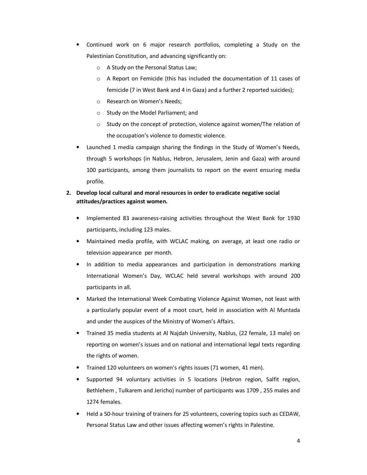- Continued work on 6 major research portfolios, completing a Study on the Palestinian Constitution, and advancing significantly on:
	- o A Study on the Personal Status Law;
	- o A Report on Femicide (this has included the documentation of 11 cases of femicide (7 in West Bank and 4 in Gaza) and a further 2 reported suicides);
	- o Research on Women's Needs;
	- o Study on the Model Parliament; and
	- o Study on the concept of protection, violence against women/The relation of the occupation's violence to domestic violence.
- Launched 1 media campaign sharing the findings in the Study of Women's Needs, through 5 workshops (in Nablus, Hebron, Jerusalem, Jenin and Gaza) with around 100 participants, among them journalists to report on the event ensuring media profile.

## **2. Develop local cultural and moral resources in order to eradicate negative social attitudes/practices against women.**

- Implemented 83 awareness-raising activities throughout the West Bank for 1930 participants, including 123 males.
- Maintained media profile, with WCLAC making, on average, at least one radio or television appearance per month.
- In addition to media appearances and participation in demonstrations marking International Women's Day, WCLAC held several workshops with around 200 participants in all.
- Marked the International Week Combating Violence Against Women, not least with a particularly popular event of a moot court, held in association with Al Muntada and under the auspices of the Ministry of Women's Affairs.
- Trained 35 media students at Al Najdah University, Nablus, (22 female, 13 male) on reporting on women's issues and on national and international legal texts regarding the rights of women.
- Trained 120 volunteers on women's rights issues (71 women, 41 men).
- Supported 94 voluntary activities in 5 locations (Hebron region, Salfit region, Bethlehem , Tulkarem and Jericho) number of participants was 1709 , 255 males and 1274 females.
- Held a 50-hour training of trainers for 25 volunteers, covering topics such as CEDAW, Personal Status Law and other issues affecting women's rights in Palestine.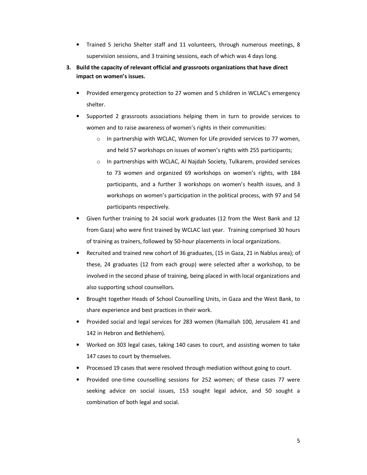- Trained 5 Jericho Shelter staff and 11 volunteers, through numerous meetings, 8 supervision sessions, and 3 training sessions, each of which was 4 days long.
- **3. Build the capacity of relevant official and grassroots organizations that have direct impact on women's issues.** 
	- Provided emergency protection to 27 women and 5 children in WCLAC's emergency shelter.
	- Supported 2 grassroots associations helping them in turn to provide services to women and to raise awareness of women's rights in their communities:
		- o In partnership with WCLAC, Women for Life provided services to 77 women, and held 57 workshops on issues of women's rights with 255 participants;
		- o In partnerships with WCLAC, Al Najdah Society, Tulkarem, provided services to 73 women and organized 69 workshops on women's rights, with 184 participants, and a further 3 workshops on women's health issues, and 3 workshops on women's participation in the political process, with 97 and 54 participants respectively.
	- Given further training to 24 social work graduates (12 from the West Bank and 12 from Gaza) who were first trained by WCLAC last year. Training comprised 30 hours of training as trainers, followed by 50-hour placements in local organizations.
	- Recruited and trained new cohort of 36 graduates, (15 in Gaza, 21 in Nablus area); of these, 24 graduates (12 from each group) were selected after a workshop, to be involved in the second phase of training, being placed in with local organizations and also supporting school counsellors.
	- Brought together Heads of School Counselling Units, in Gaza and the West Bank, to share experience and best practices in their work.
	- Provided social and legal services for 283 women (Ramallah 100, Jerusalem 41 and 142 in Hebron and Bethlehem).
	- Worked on 303 legal cases, taking 140 cases to court, and assisting women to take 147 cases to court by themselves.
	- Processed 19 cases that were resolved through mediation without going to court.
	- Provided one-time counselling sessions for 252 women; of these cases 77 were seeking advice on social issues, 153 sought legal advice, and 50 sought a combination of both legal and social.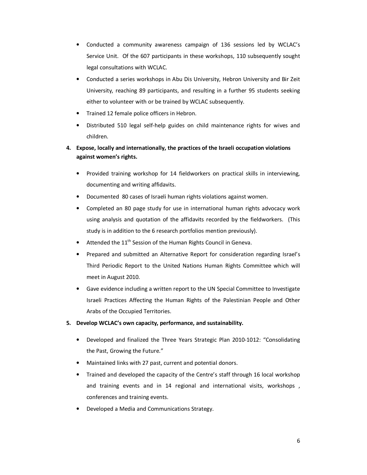- Conducted a community awareness campaign of 136 sessions led by WCLAC's Service Unit. Of the 607 participants in these workshops, 110 subsequently sought legal consultations with WCLAC.
- Conducted a series workshops in Abu Dis University, Hebron University and Bir Zeit University, reaching 89 participants, and resulting in a further 95 students seeking either to volunteer with or be trained by WCLAC subsequently.
- Trained 12 female police officers in Hebron.
- Distributed 510 legal self-help guides on child maintenance rights for wives and children.
- **4. Expose, locally and internationally, the practices of the Israeli occupation violations against women's rights.** 
	- Provided training workshop for 14 fieldworkers on practical skills in interviewing, documenting and writing affidavits.
	- Documented 80 cases of Israeli human rights violations against women.
	- Completed an 80 page study for use in international human rights advocacy work using analysis and quotation of the affidavits recorded by the fieldworkers. (This study is in addition to the 6 research portfolios mention previously).
	- Attended the  $11<sup>th</sup>$  Session of the Human Rights Council in Geneva.
	- Prepared and submitted an Alternative Report for consideration regarding Israel's Third Periodic Report to the United Nations Human Rights Committee which will meet in August 2010.
	- Gave evidence including a written report to the UN Special Committee to Investigate Israeli Practices Affecting the Human Rights of the Palestinian People and Other Arabs of the Occupied Territories.
- **5. Develop WCLAC's own capacity, performance, and sustainability.** 
	- Developed and finalized the Three Years Strategic Plan 2010-1012: "Consolidating the Past, Growing the Future."
	- Maintained links with 27 past, current and potential donors.
	- Trained and developed the capacity of the Centre's staff through 16 local workshop and training events and in 14 regional and international visits, workshops, conferences and training events.
	- Developed a Media and Communications Strategy.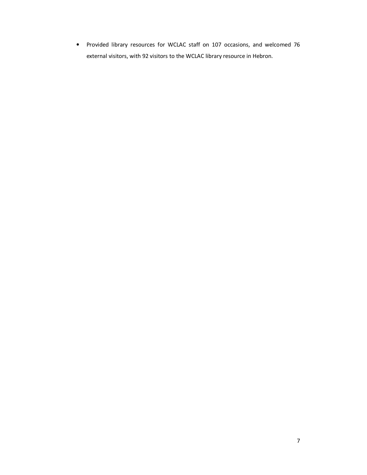• Provided library resources for WCLAC staff on 107 occasions, and welcomed 76 external visitors, with 92 visitors to the WCLAC library resource in Hebron.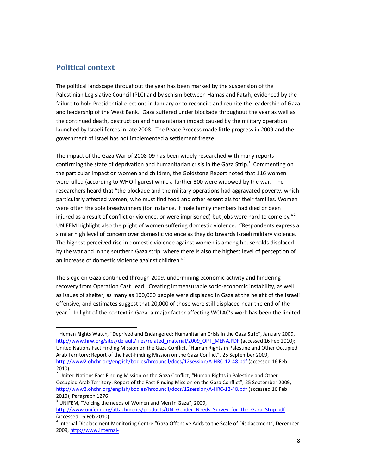## **Political context**

l,

The political landscape throughout the year has been marked by the suspension of the Palestinian Legislative Council (PLC) and by schism between Hamas and Fatah, evidenced by the failure to hold Presidential elections in January or to reconcile and reunite the leadership of Gaza and leadership of the West Bank. Gaza suffered under blockade throughout the year as well as the continued death, destruction and humanitarian impact caused by the military operation launched by Israeli forces in late 2008. The Peace Process made little progress in 2009 and the government of Israel has not implemented a settlement freeze.

The impact of the Gaza War of 2008-09 has been widely researched with many reports confirming the state of deprivation and humanitarian crisis in the Gaza Strip.<sup>1</sup> Commenting on the particular impact on women and children, the Goldstone Report noted that 116 women were killed (according to WHO figures) while a further 300 were widowed by the war. The researchers heard that "the blockade and the military operations had aggravated poverty, which particularly affected women, who must find food and other essentials for their families. Women were often the sole breadwinners (for instance, if male family members had died or been injured as a result of conflict or violence, or were imprisoned) but jobs were hard to come by."<sup>2</sup> UNIFEM highlight also the plight of women suffering domestic violence: "Respondents express a similar high level of concern over domestic violence as they do towards Israeli military violence. The highest perceived rise in domestic violence against women is among households displaced by the war and in the southern Gaza strip, where there is also the highest level of perception of an increase of domestic violence against children."<sup>3</sup>

The siege on Gaza continued through 2009, undermining economic activity and hindering recovery from Operation Cast Lead. Creating immeasurable socio-economic instability, as well as issues of shelter, as many as 100,000 people were displaced in Gaza at the height of the Israeli offensive, and estimates suggest that 20,000 of those were still displaced near the end of the year.<sup>4</sup> In light of the context in Gaza, a major factor affecting WCLAC's work has been the limited

<sup>&</sup>lt;sup>1</sup> Human Rights Watch, "Deprived and Endangered: Humanitarian Crisis in the Gaza Strip", January 2009, http://www.hrw.org/sites/default/files/related\_material/2009\_OPT\_MENA.PDF (accessed 16 Feb 2010); United Nations Fact Finding Mission on the Gaza Conflict, "Human Rights in Palestine and Other Occupied Arab Territory: Report of the Fact-Finding Mission on the Gaza Conflict", 25 September 2009, http://www2.ohchr.org/english/bodies/hrcouncil/docs/12session/A-HRC-12-48.pdf (accessed 16 Feb 2010)

 $2$  United Nations Fact Finding Mission on the Gaza Conflict, "Human Rights in Palestine and Other Occupied Arab Territory: Report of the Fact-Finding Mission on the Gaza Conflict", 25 September 2009, http://www2.ohchr.org/english/bodies/hrcouncil/docs/12session/A-HRC-12-48.pdf (accessed 16 Feb 2010), Paragraph 1276

<sup>&</sup>lt;sup>3</sup> UNIFEM, "Voicing the needs of Women and Men in Gaza", 2009,

http://www.unifem.org/attachments/products/UN\_Gender\_Needs\_Survey\_for\_the\_Gaza\_Strip.pdf (accessed 16 Feb 2010)

<sup>&</sup>lt;sup>4</sup> Internal Displacement Monitoring Centre "Gaza Offensive Adds to the Scale of Displacement", December 2009, http://www.internal-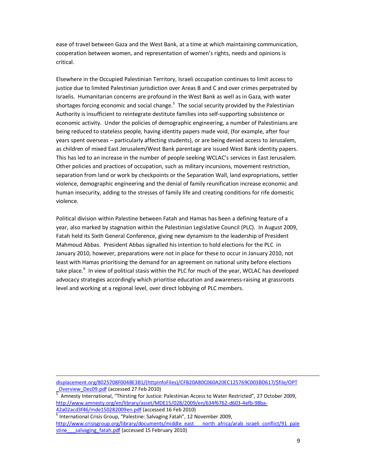ease of travel between Gaza and the West Bank, at a time at which maintaining communication, cooperation between women, and representation of women's rights, needs and opinions is critical.

Elsewhere in the Occupied Palestinian Territory, Israeli occupation continues to limit access to justice due to limited Palestinian jurisdiction over Areas B and C and over crimes perpetrated by Israelis. Humanitarian concerns are profound in the West Bank as well as in Gaza, with water shortages forcing economic and social change.<sup>5</sup> The social security provided by the Palestinian Authority is insufficient to reintegrate destitute families into self-supporting subsistence or economic activity. Under the policies of demographic engineering, a number of Palestinians are being reduced to stateless people, having identity papers made void, (for example, after four years spent overseas – particularly affecting students), or are being denied access to Jerusalem, as children of mixed East Jerusalem/West Bank parentage are issued West Bank identity papers. This has led to an increase in the number of people seeking WCLAC's services in East Jerusalem. Other policies and practices of occupation, such as military incursions, movement restriction, separation from land or work by checkpoints or the Separation Wall, land expropriations, settler violence, demographic engineering and the denial of family reunification increase economic and human insecurity, adding to the stresses of family life and creating conditions for rife domestic violence.

Political division within Palestine between Fatah and Hamas has been a defining feature of a year, also marked by stagnation within the Palestinian Legislative Council (PLC). In August 2009, Fatah held its Sixth General Conference, giving new dynamism to the leadership of President Mahmoud Abbas. President Abbas signalled his intention to hold elections for the PLC in January 2010, however, preparations were not in place for these to occur in January 2010, not least with Hamas prioritising the demand for an agreement on national unity before elections take place.<sup>6</sup> In view of political stasis within the PLC for much of the year, WCLAC has developed advocacy strategies accordingly which prioritise education and awareness-raising at grassroots level and working at a regional level, over direct lobbying of PLC members.

displacement.org/8025708F004BE3B1/(httpInfoFiles)/CFB20A80C060A20EC125769C003BD617/\$file/OPT \_Overview\_Dec09.pdf (accessed 27 Feb 2010)

 $\overline{a}$ 

5 Amnesty International, "Thirsting for Justice: Palestinian Access to Water Restricted", 27 October 2009, http://www.amnesty.org/en/library/asset/MDE15/028/2009/en/634f6762-d603-4efb-98ba-42a02acd3f46/mde150282009en.pdf (accessed 16 Feb 2010)

<sup>6</sup> International Crisis Group, "Palestine: Salvaging Fatah", 12 November 2009, http://www.crisisgroup.org/library/documents/middle\_east\_\_\_\_north\_africa/arab\_israeli\_conflict/91\_pale stine salvaging fatah.pdf (accessed 15 February 2010)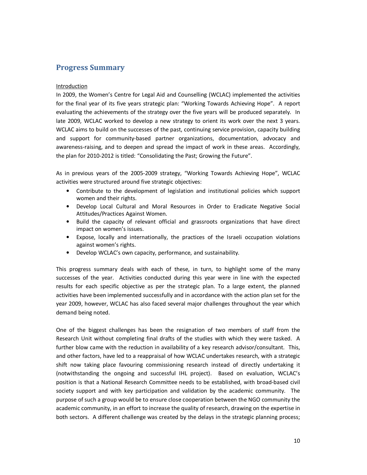## **Progress Summary**

#### **Introduction**

In 2009, the Women's Centre for Legal Aid and Counselling (WCLAC) implemented the activities for the final year of its five years strategic plan: "Working Towards Achieving Hope". A report evaluating the achievements of the strategy over the five years will be produced separately. In late 2009, WCLAC worked to develop a new strategy to orient its work over the next 3 years. WCLAC aims to build on the successes of the past, continuing service provision, capacity building and support for community-based partner organizations, documentation, advocacy and awareness-raising, and to deepen and spread the impact of work in these areas. Accordingly, the plan for 2010-2012 is titled: "Consolidating the Past; Growing the Future".

As in previous years of the 2005-2009 strategy, "Working Towards Achieving Hope", WCLAC activities were structured around five strategic objectives:

- Contribute to the development of legislation and institutional policies which support women and their rights.
- Develop Local Cultural and Moral Resources in Order to Eradicate Negative Social Attitudes/Practices Against Women.
- Build the capacity of relevant official and grassroots organizations that have direct impact on women's issues.
- Expose, locally and internationally, the practices of the Israeli occupation violations against women's rights.
- Develop WCLAC's own capacity, performance, and sustainability.

This progress summary deals with each of these, in turn, to highlight some of the many successes of the year. Activities conducted during this year were in line with the expected results for each specific objective as per the strategic plan. To a large extent, the planned activities have been implemented successfully and in accordance with the action plan set for the year 2009, however, WCLAC has also faced several major challenges throughout the year which demand being noted.

One of the biggest challenges has been the resignation of two members of staff from the Research Unit without completing final drafts of the studies with which they were tasked. A further blow came with the reduction in availability of a key research advisor/consultant. This, and other factors, have led to a reappraisal of how WCLAC undertakes research, with a strategic shift now taking place favouring commissioning research instead of directly undertaking it (notwithstanding the ongoing and successful IHL project). Based on evaluation, WCLAC's position is that a National Research Committee needs to be established, with broad-based civil society support and with key participation and validation by the academic community. The purpose of such a group would be to ensure close cooperation between the NGO community the academic community, in an effort to increase the quality of research, drawing on the expertise in both sectors. A different challenge was created by the delays in the strategic planning process;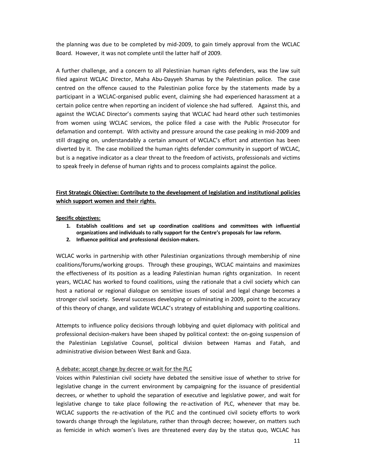the planning was due to be completed by mid-2009, to gain timely approval from the WCLAC Board. However, it was not complete until the latter half of 2009.

A further challenge, and a concern to all Palestinian human rights defenders, was the law suit filed against WCLAC Director, Maha Abu-Dayyeh Shamas by the Palestinian police. The case centred on the offence caused to the Palestinian police force by the statements made by a participant in a WCLAC-organised public event, claiming she had experienced harassment at a certain police centre when reporting an incident of violence she had suffered. Against this, and against the WCLAC Director's comments saying that WCLAC had heard other such testimonies from women using WCLAC services, the police filed a case with the Public Prosecutor for defamation and contempt. With activity and pressure around the case peaking in mid-2009 and still dragging on, understandably a certain amount of WCLAC's effort and attention has been diverted by it. The case mobilized the human rights defender community in support of WCLAC, but is a negative indicator as a clear threat to the freedom of activists, professionals and victims to speak freely in defense of human rights and to process complaints against the police.

## **First Strategic Objective: Contribute to the development of legislation and institutional policies which support women and their rights.**

#### **Specific objectives:**

- **1. Establish coalitions and set up coordination coalitions and committees with influential organizations and individuals to rally support for the Centre's proposals for law reform.**
- **2. Influence political and professional decision-makers.**

WCLAC works in partnership with other Palestinian organizations through membership of nine coalitions/forums/working groups. Through these groupings, WCLAC maintains and maximizes the effectiveness of its position as a leading Palestinian human rights organization. In recent years, WCLAC has worked to found coalitions, using the rationale that a civil society which can host a national or regional dialogue on sensitive issues of social and legal change becomes a stronger civil society. Several successes developing or culminating in 2009, point to the accuracy of this theory of change, and validate WCLAC's strategy of establishing and supporting coalitions.

Attempts to influence policy decisions through lobbying and quiet diplomacy with political and professional decision-makers have been shaped by political context: the on-going suspension of the Palestinian Legislative Counsel, political division between Hamas and Fatah, and administrative division between West Bank and Gaza.

#### A debate: accept change by decree or wait for the PLC

Voices within Palestinian civil society have debated the sensitive issue of whether to strive for legislative change in the current environment by campaigning for the issuance of presidential decrees, or whether to uphold the separation of executive and legislative power, and wait for legislative change to take place following the re-activation of PLC, whenever that may be. WCLAC supports the re-activation of the PLC and the continued civil society efforts to work towards change through the legislature, rather than through decree; however, on matters such as femicide in which women's lives are threatened every day by the status quo, WCLAC has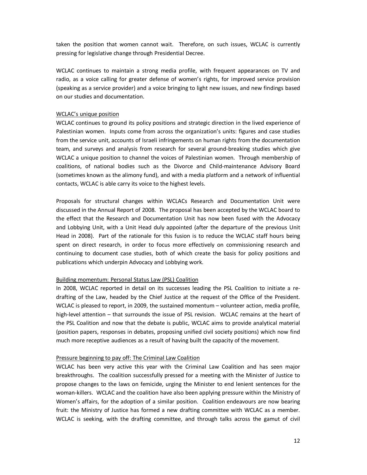taken the position that women cannot wait. Therefore, on such issues, WCLAC is currently pressing for legislative change through Presidential Decree.

WCLAC continues to maintain a strong media profile, with frequent appearances on TV and radio, as a voice calling for greater defense of women's rights, for improved service provision (speaking as a service provider) and a voice bringing to light new issues, and new findings based on our studies and documentation.

#### WCLAC's unique position

WCLAC continues to ground its policy positions and strategic direction in the lived experience of Palestinian women. Inputs come from across the organization's units: figures and case studies from the service unit, accounts of Israeli infringements on human rights from the documentation team, and surveys and analysis from research for several ground-breaking studies which give WCLAC a unique position to channel the voices of Palestinian women. Through membership of coalitions, of national bodies such as the Divorce and Child-maintenance Advisory Board (sometimes known as the alimony fund), and with a media platform and a network of influential contacts, WCLAC is able carry its voice to the highest levels.

Proposals for structural changes within WCLACs Research and Documentation Unit were discussed in the Annual Report of 2008. The proposal has been accepted by the WCLAC board to the effect that the Research and Documentation Unit has now been fused with the Advocacy and Lobbying Unit, with a Unit Head duly appointed (after the departure of the previous Unit Head in 2008). Part of the rationale for this fusion is to reduce the WCLAC staff hours being spent on direct research, in order to focus more effectively on commissioning research and continuing to document case studies, both of which create the basis for policy positions and publications which underpin Advocacy and Lobbying work.

#### Building momentum: Personal Status Law (PSL) Coalition

In 2008, WCLAC reported in detail on its successes leading the PSL Coalition to initiate a redrafting of the Law, headed by the Chief Justice at the request of the Office of the President. WCLAC is pleased to report, in 2009, the sustained momentum – volunteer action, media profile, high-level attention – that surrounds the issue of PSL revision. WCLAC remains at the heart of the PSL Coalition and now that the debate is public, WCLAC aims to provide analytical material (position papers, responses in debates, proposing unified civil society positions) which now find much more receptive audiences as a result of having built the capacity of the movement.

#### Pressure beginning to pay off: The Criminal Law Coalition

WCLAC has been very active this year with the Criminal Law Coalition and has seen major breakthroughs. The coalition successfully pressed for a meeting with the Minister of Justice to propose changes to the laws on femicide, urging the Minister to end lenient sentences for the woman-killers. WCLAC and the coalition have also been applying pressure within the Ministry of Women's affairs, for the adoption of a similar position. Coalition endeavours are now bearing fruit: the Ministry of Justice has formed a new drafting committee with WCLAC as a member. WCLAC is seeking, with the drafting committee, and through talks across the gamut of civil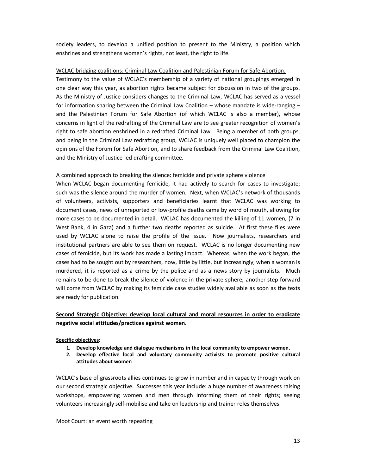society leaders, to develop a unified position to present to the Ministry, a position which enshrines and strengthens women's rights, not least, the right to life.

#### WCLAC bridging coalitions: Criminal Law Coalition and Palestinian Forum for Safe Abortion.

Testimony to the value of WCLAC's membership of a variety of national groupings emerged in one clear way this year, as abortion rights became subject for discussion in two of the groups. As the Ministry of Justice considers changes to the Criminal Law, WCLAC has served as a vessel for information sharing between the Criminal Law Coalition – whose mandate is wide-ranging – and the Palestinian Forum for Safe Abortion (of which WCLAC is also a member), whose concerns in light of the redrafting of the Criminal Law are to see greater recognition of women's right to safe abortion enshrined in a redrafted Criminal Law. Being a member of both groups, and being in the Criminal Law redrafting group, WCLAC is uniquely well placed to champion the opinions of the Forum for Safe Abortion, and to share feedback from the Criminal Law Coalition, and the Ministry of Justice-led drafting committee.

#### A combined approach to breaking the silence: femicide and private sphere violence

When WCLAC began documenting femicide, it had actively to search for cases to investigate; such was the silence around the murder of women. Next, when WCLAC's network of thousands of volunteers, activists, supporters and beneficiaries learnt that WCLAC was working to document cases, news of unreported or low-profile deaths came by word of mouth, allowing for more cases to be documented in detail. WCLAC has documented the killing of 11 women, (7 in West Bank, 4 in Gaza) and a further two deaths reported as suicide. At first these files were used by WCLAC alone to raise the profile of the issue. Now journalists, researchers and institutional partners are able to see them on request. WCLAC is no longer documenting new cases of femicide, but its work has made a lasting impact. Whereas, when the work began, the cases had to be sought out by researchers, now, little by little, but increasingly, when a woman is murdered, it is reported as a crime by the police and as a news story by journalists. Much remains to be done to break the silence of violence in the private sphere; another step forward will come from WCLAC by making its femicide case studies widely available as soon as the texts are ready for publication.

## **Second Strategic Objective: develop local cultural and moral resources in order to eradicate negative social attitudes/practices against women.**

#### **Specific objectives:**

- **1. Develop knowledge and dialogue mechanisms in the local community to empower women.**
- **2. Develop effective local and voluntary community activists to promote positive cultural attitudes about women**

WCLAC's base of grassroots allies continues to grow in number and in capacity through work on our second strategic objective. Successes this year include: a huge number of awareness raising workshops, empowering women and men through informing them of their rights; seeing volunteers increasingly self-mobilise and take on leadership and trainer roles themselves.

#### Moot Court: an event worth repeating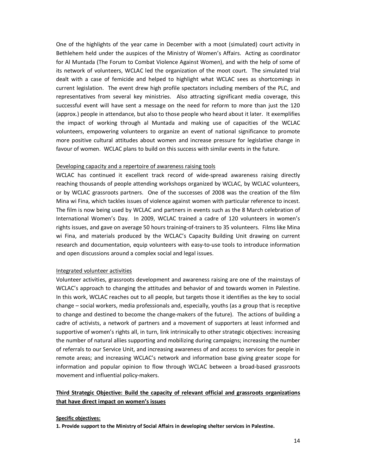One of the highlights of the year came in December with a moot (simulated) court activity in Bethlehem held under the auspices of the Ministry of Women's Affairs. Acting as coordinator for Al Muntada (The Forum to Combat Violence Against Women), and with the help of some of its network of volunteers, WCLAC led the organization of the moot court. The simulated trial dealt with a case of femicide and helped to highlight what WCLAC sees as shortcomings in current legislation. The event drew high profile spectators including members of the PLC, and representatives from several key ministries. Also attracting significant media coverage, this successful event will have sent a message on the need for reform to more than just the 120 (approx.) people in attendance, but also to those people who heard about it later. It exemplifies the impact of working through al Muntada and making use of capacities of the WCLAC volunteers, empowering volunteers to organize an event of national significance to promote more positive cultural attitudes about women and increase pressure for legislative change in favour of women. WCLAC plans to build on this success with similar events in the future.

#### Developing capacity and a repertoire of awareness raising tools

WCLAC has continued it excellent track record of wide-spread awareness raising directly reaching thousands of people attending workshops organized by WCLAC, by WCLAC volunteers, or by WCLAC grassroots partners. One of the successes of 2008 was the creation of the film Mina wi Fina, which tackles issues of violence against women with particular reference to incest. The film is now being used by WCLAC and partners in events such as the 8 March celebration of International Women's Day. In 2009, WCLAC trained a cadre of 120 volunteers in women's rights issues, and gave on average 50 hours training-of-trainers to 35 volunteers. Films like Mina wi Fina, and materials produced by the WCLAC's Capacity Building Unit drawing on current research and documentation, equip volunteers with easy-to-use tools to introduce information and open discussions around a complex social and legal issues.

#### Integrated volunteer activities

Volunteer activities, grassroots development and awareness raising are one of the mainstays of WCLAC's approach to changing the attitudes and behavior of and towards women in Palestine. In this work, WCLAC reaches out to all people, but targets those it identifies as the key to social change – social workers, media professionals and, especially, youths (as a group that is receptive to change and destined to become the change-makers of the future). The actions of building a cadre of activists, a network of partners and a movement of supporters at least informed and supportive of women's rights all, in turn, link intrinsically to other strategic objectives: increasing the number of natural allies supporting and mobilizing during campaigns; increasing the number of referrals to our Service Unit, and increasing awareness of and access to services for people in remote areas; and increasing WCLAC's network and information base giving greater scope for information and popular opinion to flow through WCLAC between a broad-based grassroots movement and influential policy-makers.

## **Third Strategic Objective: Build the capacity of relevant official and grassroots organizations that have direct impact on women's issues**

#### **Specific objectives:**

**1. Provide support to the Ministry of Social Affairs in developing shelter services in Palestine.**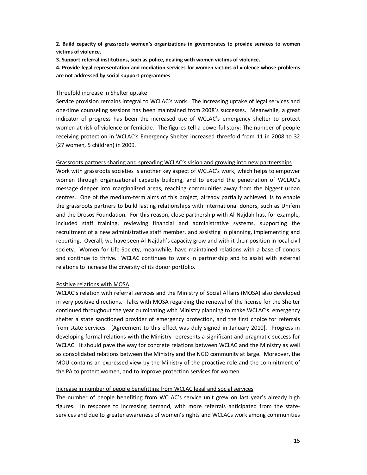**2. Build capacity of grassroots women's organizations in governorates to provide services to women victims of violence.** 

**3. Support referral institutions, such as police, dealing with women victims of violence.** 

**4. Provide legal representation and mediation services for women victims of violence whose problems are not addressed by social support programmes** 

#### Threefold increase in Shelter uptake

Service provision remains integral to WCLAC's work. The increasing uptake of legal services and one-time counseling sessions has been maintained from 2008's successes. Meanwhile, a great indicator of progress has been the increased use of WCLAC's emergency shelter to protect women at risk of violence or femicide. The figures tell a powerful story: The number of people receiving protection in WCLAC's Emergency Shelter increased threefold from 11 in 2008 to 32 (27 women, 5 children) in 2009.

#### Grassroots partners sharing and spreading WCLAC's vision and growing into new partnerships

Work with grassroots societies is another key aspect of WCLAC's work, which helps to empower women through organizational capacity building, and to extend the penetration of WCLAC's message deeper into marginalized areas, reaching communities away from the biggest urban centres. One of the medium-term aims of this project, already partially achieved, is to enable the grassroots partners to build lasting relationships with international donors, such as Unifem and the Drosos Foundation. For this reason, close partnership with Al-Najdah has, for example, included staff training, reviewing financial and administrative systems, supporting the recruitment of a new administrative staff member, and assisting in planning, implementing and reporting. Overall, we have seen Al-Najdah's capacity grow and with it their position in local civil society. Women for Life Society, meanwhile, have maintained relations with a base of donors and continue to thrive. WCLAC continues to work in partnership and to assist with external relations to increase the diversity of its donor portfolio.

#### Positive relations with MOSA

WCLAC's relation with referral services and the Ministry of Social Affairs (MOSA) also developed in very positive directions. Talks with MOSA regarding the renewal of the license for the Shelter continued throughout the year culminating with Ministry planning to make WCLAC's emergency shelter a state sanctioned provider of emergency protection, and the first choice for referrals from state services. [Agreement to this effect was duly signed in January 2010]. Progress in developing formal relations with the Ministry represents a significant and pragmatic success for WCLAC. It should pave the way for concrete relations between WCLAC and the Ministry as well as consolidated relations between the Ministry and the NGO community at large. Moreover, the MOU contains an expressed view by the Ministry of the proactive role and the commitment of the PA to protect women, and to improve protection services for women.

#### Increase in number of people benefitting from WCLAC legal and social services

The number of people benefiting from WCLAC's service unit grew on last year's already high figures. In response to increasing demand, with more referrals anticipated from the stateservices and due to greater awareness of women's rights and WCLACs work among communities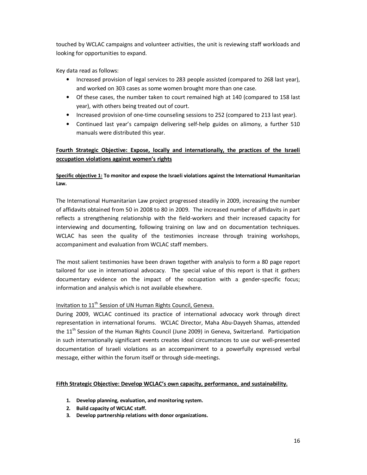touched by WCLAC campaigns and volunteer activities, the unit is reviewing staff workloads and looking for opportunities to expand.

Key data read as follows:

- Increased provision of legal services to 283 people assisted (compared to 268 last year), and worked on 303 cases as some women brought more than one case.
- Of these cases, the number taken to court remained high at 140 (compared to 158 last year), with others being treated out of court.
- Increased provision of one-time counseling sessions to 252 (compared to 213 last year).
- Continued last year's campaign delivering self-help guides on alimony, a further 510 manuals were distributed this year.

## **Fourth Strategic Objective: Expose, locally and internationally, the practices of the Israeli occupation violations against women's rights**

## **Specific objective 1: To monitor and expose the Israeli violations against the International Humanitarian Law.**

The International Humanitarian Law project progressed steadily in 2009, increasing the number of affidavits obtained from 50 in 2008 to 80 in 2009. The increased number of affidavits in part reflects a strengthening relationship with the field-workers and their increased capacity for interviewing and documenting, following training on law and on documentation techniques. WCLAC has seen the quality of the testimonies increase through training workshops, accompaniment and evaluation from WCLAC staff members.

The most salient testimonies have been drawn together with analysis to form a 80 page report tailored for use in international advocacy. The special value of this report is that it gathers documentary evidence on the impact of the occupation with a gender-specific focus; information and analysis which is not available elsewhere.

## Invitation to 11<sup>th</sup> Session of UN Human Rights Council, Geneva.

During 2009, WCLAC continued its practice of international advocacy work through direct representation in international forums. WCLAC Director, Maha Abu-Dayyeh Shamas, attended the  $11<sup>th</sup>$  Session of the Human Rights Council (June 2009) in Geneva, Switzerland. Participation in such internationally significant events creates ideal circumstances to use our well-presented documentation of Israeli violations as an accompaniment to a powerfully expressed verbal message, either within the forum itself or through side-meetings.

#### **Fifth Strategic Objective: Develop WCLAC's own capacity, performance, and sustainability.**

- **1. Develop planning, evaluation, and monitoring system.**
- **2. Build capacity of WCLAC staff.**
- **3. Develop partnership relations with donor organizations.**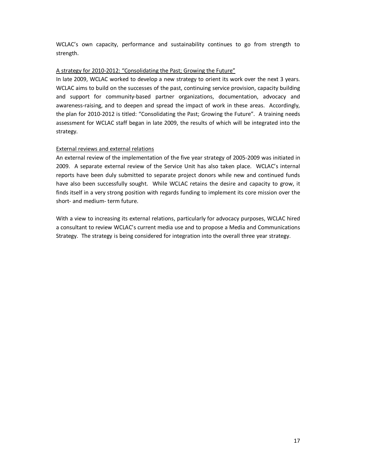WCLAC's own capacity, performance and sustainability continues to go from strength to strength.

#### A strategy for 2010-2012: "Consolidating the Past; Growing the Future"

In late 2009, WCLAC worked to develop a new strategy to orient its work over the next 3 years. WCLAC aims to build on the successes of the past, continuing service provision, capacity building and support for community-based partner organizations, documentation, advocacy and awareness-raising, and to deepen and spread the impact of work in these areas. Accordingly, the plan for 2010-2012 is titled: "Consolidating the Past; Growing the Future". A training needs assessment for WCLAC staff began in late 2009, the results of which will be integrated into the strategy.

#### External reviews and external relations

An external review of the implementation of the five year strategy of 2005-2009 was initiated in 2009. A separate external review of the Service Unit has also taken place. WCLAC's internal reports have been duly submitted to separate project donors while new and continued funds have also been successfully sought. While WCLAC retains the desire and capacity to grow, it finds itself in a very strong position with regards funding to implement its core mission over the short- and medium- term future.

With a view to increasing its external relations, particularly for advocacy purposes, WCLAC hired a consultant to review WCLAC's current media use and to propose a Media and Communications Strategy. The strategy is being considered for integration into the overall three year strategy.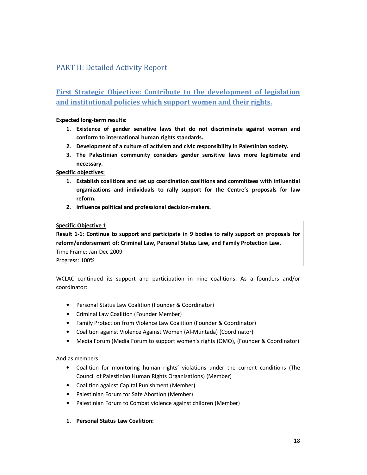# PART II: Detailed Activity Report

**First Strategic Objective: Contribute to the development of legislation and institutional policies which support women and their rights.** 

#### **Expected long-term results:**

- **1. Existence of gender sensitive laws that do not discriminate against women and conform to international human rights standards.**
- **2. Development of a culture of activism and civic responsibility in Palestinian society.**
- **3. The Palestinian community considers gender sensitive laws more legitimate and necessary.**

**Specific objectives:** 

- **1. Establish coalitions and set up coordination coalitions and committees with influential organizations and individuals to rally support for the Centre's proposals for law reform.**
- **2. Influence political and professional decision-makers.**

#### **Specific Objective 1**

**Result 1-1: Continue to support and participate in 9 bodies to rally support on proposals for reform/endorsement of: Criminal Law, Personal Status Law, and Family Protection Law.**  Time Frame: Jan-Dec 2009

Progress: 100%

WCLAC continued its support and participation in nine coalitions: As a founders and/or coordinator:

- Personal Status Law Coalition (Founder & Coordinator)
- Criminal Law Coalition (Founder Member)
- Family Protection from Violence Law Coalition (Founder & Coordinator)
- Coalition against Violence Against Women (Al-Muntada) (Coordinator)
- Media Forum (Media Forum to support women's rights (OMQ), (Founder & Coordinator)

#### And as members:

- Coalition for monitoring human rights' violations under the current conditions (The Council of Palestinian Human Rights Organisations) (Member)
- Coalition against Capital Punishment (Member)
- Palestinian Forum for Safe Abortion (Member)
- Palestinian Forum to Combat violence against children (Member)

#### **1. Personal Status Law Coalition:**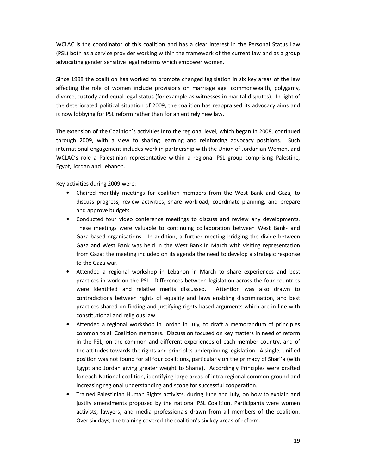WCLAC is the coordinator of this coalition and has a clear interest in the Personal Status Law (PSL) both as a service provider working within the framework of the current law and as a group advocating gender sensitive legal reforms which empower women.

Since 1998 the coalition has worked to promote changed legislation in six key areas of the law affecting the role of women include provisions on marriage age, commonwealth, polygamy, divorce, custody and equal legal status (for example as witnesses in marital disputes). In light of the deteriorated political situation of 2009, the coalition has reappraised its advocacy aims and is now lobbying for PSL reform rather than for an entirely new law.

The extension of the Coalition's activities into the regional level, which began in 2008, continued through 2009, with a view to sharing learning and reinforcing advocacy positions. Such international engagement includes work in partnership with the Union of Jordanian Women, and WCLAC's role a Palestinian representative within a regional PSL group comprising Palestine, Egypt, Jordan and Lebanon.

Key activities during 2009 were:

- Chaired monthly meetings for coalition members from the West Bank and Gaza, to discuss progress, review activities, share workload, coordinate planning, and prepare and approve budgets.
- Conducted four video conference meetings to discuss and review any developments. These meetings were valuable to continuing collaboration between West Bank- and Gaza-based organisations. In addition, a further meeting bridging the divide between Gaza and West Bank was held in the West Bank in March with visiting representation from Gaza; the meeting included on its agenda the need to develop a strategic response to the Gaza war.
- Attended a regional workshop in Lebanon in March to share experiences and best practices in work on the PSL. Differences between legislation across the four countries were identified and relative merits discussed. Attention was also drawn to contradictions between rights of equality and laws enabling discrimination, and best practices shared on finding and justifying rights-based arguments which are in line with constitutional and religious law.
- Attended a regional workshop in Jordan in July, to draft a memorandum of principles common to all Coalition members. Discussion focused on key matters in need of reform in the PSL, on the common and different experiences of each member country, and of the attitudes towards the rights and principles underpinning legislation. A single, unified position was not found for all four coalitions, particularly on the primacy of Shari'a (with Egypt and Jordan giving greater weight to Sharia). Accordingly Principles were drafted for each National coalition, identifying large areas of intra-regional common ground and increasing regional understanding and scope for successful cooperation.
- Trained Palestinian Human Rights activists, during June and July, on how to explain and justify amendments proposed by the national PSL Coalition. Participants were women activists, lawyers, and media professionals drawn from all members of the coalition. Over six days, the training covered the coalition's six key areas of reform.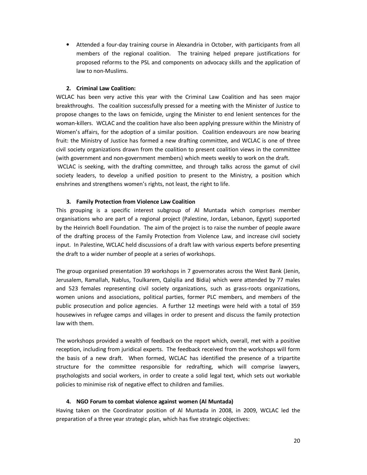• Attended a four-day training course in Alexandria in October, with participants from all members of the regional coalition. The training helped prepare justifications for proposed reforms to the PSL and components on advocacy skills and the application of law to non-Muslims.

#### **2. Criminal Law Coalition:**

WCLAC has been very active this year with the Criminal Law Coalition and has seen major breakthroughs. The coalition successfully pressed for a meeting with the Minister of Justice to propose changes to the laws on femicide, urging the Minister to end lenient sentences for the woman-killers. WCLAC and the coalition have also been applying pressure within the Ministry of Women's affairs, for the adoption of a similar position. Coalition endeavours are now bearing fruit: the Ministry of Justice has formed a new drafting committee, and WCLAC is one of three civil society organizations drawn from the coalition to present coalition views in the committee (with government and non-government members) which meets weekly to work on the draft. WCLAC is seeking, with the drafting committee, and through talks across the gamut of civil

society leaders, to develop a unified position to present to the Ministry, a position which enshrines and strengthens women's rights, not least, the right to life.

#### **3. Family Protection from Violence Law Coalition**

This grouping is a specific interest subgroup of Al Muntada which comprises member organisations who are part of a regional project (Palestine, Jordan, Lebanon, Egypt) supported by the Heinrich Boell Foundation. The aim of the project is to raise the number of people aware of the drafting process of the Family Protection from Violence Law, and increase civil society input. In Palestine, WCLAC held discussions of a draft law with various experts before presenting the draft to a wider number of people at a series of workshops.

The group organised presentation 39 workshops in 7 governorates across the West Bank (Jenin, Jerusalem, Ramallah, Nablus, Toulkarem, Qalqilia and Bidia) which were attended by 77 males and 523 females representing civil society organizations, such as grass-roots organizations, women unions and associations, political parties, former PLC members, and members of the public prosecution and police agencies. A further 12 meetings were held with a total of 359 housewives in refugee camps and villages in order to present and discuss the family protection law with them.

The workshops provided a wealth of feedback on the report which, overall, met with a positive reception, including from juridical experts. The feedback received from the workshops will form the basis of a new draft. When formed, WCLAC has identified the presence of a tripartite structure for the committee responsible for redrafting, which will comprise lawyers, psychologists and social workers, in order to create a solid legal text, which sets out workable policies to minimise risk of negative effect to children and families.

#### **4. NGO Forum to combat violence against women (Al Muntada)**

Having taken on the Coordinator position of Al Muntada in 2008, in 2009, WCLAC led the preparation of a three year strategic plan, which has five strategic objectives: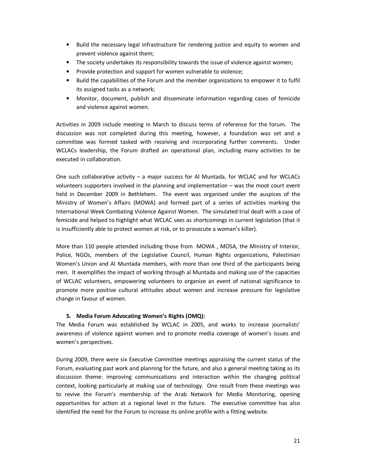- Build the necessary legal infrastructure for rendering justice and equity to women and prevent violence against them;
- The society undertakes its responsibility towards the issue of violence against women;
- Provide protection and support for women vulnerable to violence;
- Build the capabilities of the Forum and the member organizations to empower it to fulfil its assigned tasks as a network;
- Monitor, document, publish and disseminate information regarding cases of femicide and violence against women.

Activities in 2009 include meeting in March to discuss terms of reference for the forum. The discussion was not completed during this meeting, however, a foundation was set and a committee was formed tasked with receiving and incorporating further comments. Under WCLACs leadership, the Forum drafted an operational plan, including many activities to be executed in collaboration.

One such collaborative activity – a major success for Al Muntada, for WCLAC and for WCLACs volunteers supporters involved in the planning and implementation – was the moot court event held in December 2009 in Bethlehem. The event was organised under the auspices of the Ministry of Women's Affairs (MOWA) and formed part of a series of activities marking the International Week Combating Violence Against Women. The simulated trial dealt with a case of femicide and helped to highlight what WCLAC sees as shortcomings in current legislation (that it is insufficiently able to protect women at risk, or to prosecute a woman's killer).

More than 110 people attended including those from MOWA , MOSA, the Ministry of Interior, Police, NGOs, members of the Legislative Council, Human Rights organizations, Palestinian Women's Union and Al Muntada members, with more than one third of the participants being men. It exemplifies the impact of working through al Muntada and making use of the capacities of WCLAC volunteers, empowering volunteers to organize an event of national significance to promote more positive cultural attitudes about women and increase pressure for legislative change in favour of women.

#### **5. Media Forum Advocating Women's Rights (OMQ):**

The Media Forum was established by WCLAC in 2005, and works to increase journalists' awareness of violence against women and to promote media coverage of women's issues and women's perspectives.

During 2009, there were six Executive Committee meetings appraising the current status of the Forum, evaluating past work and planning for the future, and also a general meeting taking as its discussion theme: improving communications and interaction within the changing political context, looking particularly at making use of technology. One result from these meetings was to revive the Forum's membership of the Arab Network for Media Monitoring, opening opportunities for action at a regional level in the future. The executive committee has also identified the need for the Forum to increase its online profile with a fitting website.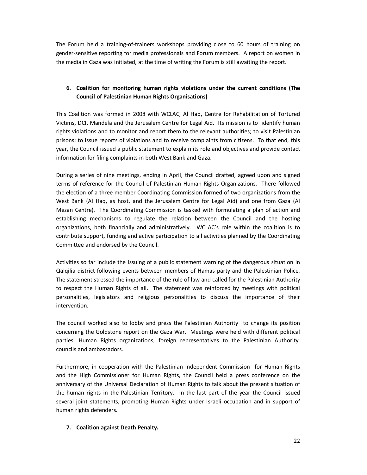The Forum held a training-of-trainers workshops providing close to 60 hours of training on gender-sensitive reporting for media professionals and Forum members. A report on women in the media in Gaza was initiated, at the time of writing the Forum is still awaiting the report.

## **6. Coalition for monitoring human rights violations under the current conditions (The Council of Palestinian Human Rights Organisations)**

This Coalition was formed in 2008 with WCLAC, Al Haq, Centre for Rehabilitation of Tortured Victims, DCI, Mandela and the Jerusalem Centre for Legal Aid. Its mission is to identify human rights violations and to monitor and report them to the relevant authorities; to visit Palestinian prisons; to issue reports of violations and to receive complaints from citizens. To that end, this year, the Council issued a public statement to explain its role and objectives and provide contact information for filing complaints in both West Bank and Gaza.

During a series of nine meetings, ending in April, the Council drafted, agreed upon and signed terms of reference for the Council of Palestinian Human Rights Organizations. There followed the election of a three member Coordinating Commission formed of two organizations from the West Bank (Al Haq, as host, and the Jerusalem Centre for Legal Aid) and one from Gaza (Al Mezan Centre). The Coordinating Commission is tasked with formulating a plan of action and establishing mechanisms to regulate the relation between the Council and the hosting organizations, both financially and administratively. WCLAC's role within the coalition is to contribute support, funding and active participation to all activities planned by the Coordinating Committee and endorsed by the Council.

Activities so far include the issuing of a public statement warning of the dangerous situation in Qalqilia district following events between members of Hamas party and the Palestinian Police. The statement stressed the importance of the rule of law and called for the Palestinian Authority to respect the Human Rights of all. The statement was reinforced by meetings with political personalities, legislators and religious personalities to discuss the importance of their intervention.

The council worked also to lobby and press the Palestinian Authority to change its position concerning the Goldstone report on the Gaza War. Meetings were held with different political parties, Human Rights organizations, foreign representatives to the Palestinian Authority, councils and ambassadors.

Furthermore, in cooperation with the Palestinian Independent Commission for Human Rights and the High Commissioner for Human Rights, the Council held a press conference on the anniversary of the Universal Declaration of Human Rights to talk about the present situation of the human rights in the Palestinian Territory. In the last part of the year the Council issued several joint statements, promoting Human Rights under Israeli occupation and in support of human rights defenders.

#### **7. Coalition against Death Penalty.**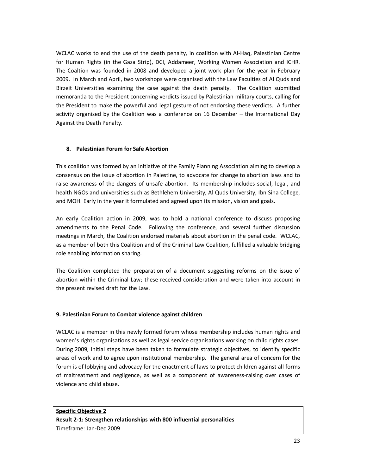WCLAC works to end the use of the death penalty, in coalition with Al-Haq, Palestinian Centre for Human Rights (in the Gaza Strip), DCI, Addameer, Working Women Association and ICHR. The Coaltion was founded in 2008 and developed a joint work plan for the year in February 2009. In March and April, two workshops were organised with the Law Faculties of Al Quds and Birzeit Universities examining the case against the death penalty. The Coalition submitted memoranda to the President concerning verdicts issued by Palestinian military courts, calling for the President to make the powerful and legal gesture of not endorsing these verdicts. A further activity organised by the Coalition was a conference on 16 December – the International Day Against the Death Penalty.

#### **8. Palestinian Forum for Safe Abortion**

This coalition was formed by an initiative of the Family Planning Association aiming to develop a consensus on the issue of abortion in Palestine, to advocate for change to abortion laws and to raise awareness of the dangers of unsafe abortion. Its membership includes social, legal, and health NGOs and universities such as Bethlehem University, Al Quds University, Ibn Sina College, and MOH. Early in the year it formulated and agreed upon its mission, vision and goals.

An early Coalition action in 2009, was to hold a national conference to discuss proposing amendments to the Penal Code. Following the conference, and several further discussion meetings in March, the Coalition endorsed materials about abortion in the penal code. WCLAC, as a member of both this Coalition and of the Criminal Law Coalition, fulfilled a valuable bridging role enabling information sharing.

The Coalition completed the preparation of a document suggesting reforms on the issue of abortion within the Criminal Law; these received consideration and were taken into account in the present revised draft for the Law.

#### **9. Palestinian Forum to Combat violence against children**

WCLAC is a member in this newly formed forum whose membership includes human rights and women's rights organisations as well as legal service organisations working on child rights cases. During 2009, initial steps have been taken to formulate strategic objectives, to identify specific areas of work and to agree upon institutional membership. The general area of concern for the forum is of lobbying and advocacy for the enactment of laws to protect children against all forms of maltreatment and negligence, as well as a component of awareness-raising over cases of violence and child abuse.

**Specific Objective 2 Result 2-1: Strengthen relationships with 800 influential personalities**  Timeframe: Jan-Dec 2009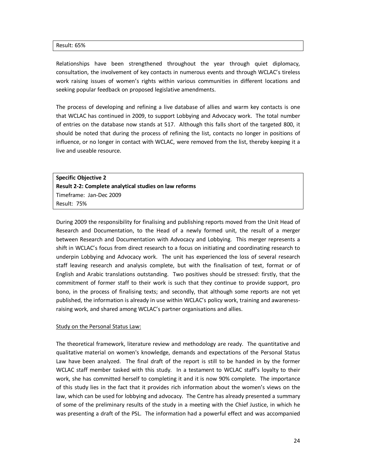#### Result: 65%

Relationships have been strengthened throughout the year through quiet diplomacy, consultation, the involvement of key contacts in numerous events and through WCLAC's tireless work raising issues of women's rights within various communities in different locations and seeking popular feedback on proposed legislative amendments.

The process of developing and refining a live database of allies and warm key contacts is one that WCLAC has continued in 2009, to support Lobbying and Advocacy work. The total number of entries on the database now stands at 517. Although this falls short of the targeted 800, it should be noted that during the process of refining the list, contacts no longer in positions of influence, or no longer in contact with WCLAC, were removed from the list, thereby keeping it a live and useable resource.

**Specific Objective 2 Result 2-2: Complete analytical studies on law reforms**  Timeframe: Jan-Dec 2009 Result: 75%

During 2009 the responsibility for finalising and publishing reports moved from the Unit Head of Research and Documentation, to the Head of a newly formed unit, the result of a merger between Research and Documentation with Advocacy and Lobbying. This merger represents a shift in WCLAC's focus from direct research to a focus on initiating and coordinating research to underpin Lobbying and Advocacy work. The unit has experienced the loss of several research staff leaving research and analysis complete, but with the finalisation of text, format or of English and Arabic translations outstanding. Two positives should be stressed: firstly, that the commitment of former staff to their work is such that they continue to provide support, pro bono, in the process of finalising texts; and secondly, that although some reports are not yet published, the information is already in use within WCLAC's policy work, training and awarenessraising work, and shared among WCLAC's partner organisations and allies.

#### Study on the Personal Status Law:

The theoretical framework, literature review and methodology are ready. The quantitative and qualitative material on women's knowledge, demands and expectations of the Personal Status Law have been analyzed. The final draft of the report is still to be handed in by the former WCLAC staff member tasked with this study. In a testament to WCLAC staff's loyalty to their work, she has committed herself to completing it and it is now 90% complete. The importance of this study lies in the fact that it provides rich information about the women's views on the law, which can be used for lobbying and advocacy. The Centre has already presented a summary of some of the preliminary results of the study in a meeting with the Chief Justice, in which he was presenting a draft of the PSL. The information had a powerful effect and was accompanied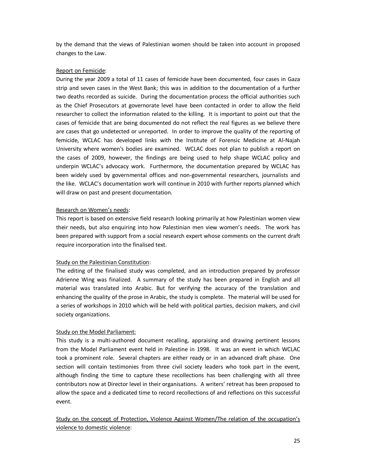by the demand that the views of Palestinian women should be taken into account in proposed changes to the Law.

#### Report on Femicide:

During the year 2009 a total of 11 cases of femicide have been documented, four cases in Gaza strip and seven cases in the West Bank; this was in addition to the documentation of a further two deaths recorded as suicide. During the documentation process the official authorities such as the Chief Prosecutors at governorate level have been contacted in order to allow the field researcher to collect the information related to the killing. It is important to point out that the cases of femicide that are being documented do not reflect the real figures as we believe there are cases that go undetected or unreported. In order to improve the quality of the reporting of femicide, WCLAC has developed links with the Institute of Forensic Medicine at Al-Najah University where women's bodies are examined. WCLAC does not plan to publish a report on the cases of 2009, however, the findings are being used to help shape WCLAC policy and underpin WCLAC's advocacy work. Furthermore, the documentation prepared by WCLAC has been widely used by governmental offices and non-governmental researchers, journalists and the like. WCLAC's documentation work will continue in 2010 with further reports planned which will draw on past and present documentation.

#### Research on Women's needs:

This report is based on extensive field research looking primarily at how Palestinian women view their needs, but also enquiring into how Palestinian men view women's needs. The work has been prepared with support from a social research expert whose comments on the current draft require incorporation into the finalised text.

#### Study on the Palestinian Constitution:

The editing of the finalised study was completed, and an introduction prepared by professor Adrienne Wing was finalized. A summary of the study has been prepared in English and all material was translated into Arabic. But for verifying the accuracy of the translation and enhancing the quality of the prose in Arabic, the study is complete. The material will be used for a series of workshops in 2010 which will be held with political parties, decision makers, and civil society organizations.

#### Study on the Model Parliament:

This study is a multi-authored document recalling, appraising and drawing pertinent lessons from the Model Parliament event held in Palestine in 1998. It was an event in which WCLAC took a prominent role. Several chapters are either ready or in an advanced draft phase. One section will contain testimonies from three civil society leaders who took part in the event, although finding the time to capture these recollections has been challenging with all three contributors now at Director level in their organisations. A writers' retreat has been proposed to allow the space and a dedicated time to record recollections of and reflections on this successful event.

Study on the concept of Protection, Violence Against Women/The relation of the occupation's violence to domestic violence: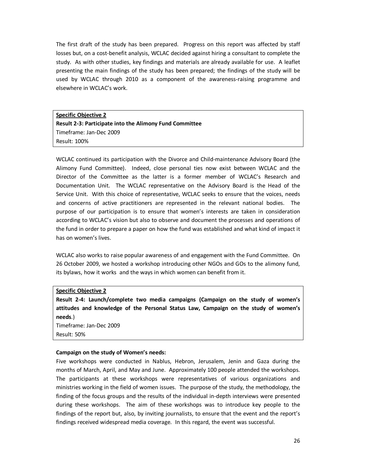The first draft of the study has been prepared. Progress on this report was affected by staff losses but, on a cost-benefit analysis, WCLAC decided against hiring a consultant to complete the study. As with other studies, key findings and materials are already available for use. A leaflet presenting the main findings of the study has been prepared; the findings of the study will be used by WCLAC through 2010 as a component of the awareness-raising programme and elsewhere in WCLAC's work.

**Specific Objective 2 Result 2-3: Participate into the Alimony Fund Committee** Timeframe: Jan-Dec 2009 Result: 100%

WCLAC continued its participation with the Divorce and Child-maintenance Advisory Board (the Alimony Fund Committee). Indeed, close personal ties now exist between WCLAC and the Director of the Committee as the latter is a former member of WCLAC's Research and Documentation Unit. The WCLAC representative on the Advisory Board is the Head of the Service Unit. With this choice of representative, WCLAC seeks to ensure that the voices, needs and concerns of active practitioners are represented in the relevant national bodies. The purpose of our participation is to ensure that women's interests are taken in consideration according to WCLAC's vision but also to observe and document the processes and operations of the fund in order to prepare a paper on how the fund was established and what kind of impact it has on women's lives.

WCLAC also works to raise popular awareness of and engagement with the Fund Committee. On 26 October 2009, we hosted a workshop introducing other NGOs and GOs to the alimony fund, its bylaws, how it works and the ways in which women can benefit from it.

#### **Specific Objective 2**

**Result 2-4: Launch/complete two media campaigns (Campaign on the study of women's attitudes and knowledge of the Personal Status Law, Campaign on the study of women's needs**.)

Timeframe: Jan-Dec 2009 Result: 50%

#### **Campaign on the study of Women's needs:**

Five workshops were conducted in Nablus, Hebron, Jerusalem, Jenin and Gaza during the months of March, April, and May and June. Approximately 100 people attended the workshops. The participants at these workshops were representatives of various organizations and ministries working in the field of women issues. The purpose of the study, the methodology, the finding of the focus groups and the results of the individual in-depth interviews were presented during these workshops. The aim of these workshops was to introduce key people to the findings of the report but, also, by inviting journalists, to ensure that the event and the report's findings received widespread media coverage. In this regard, the event was successful.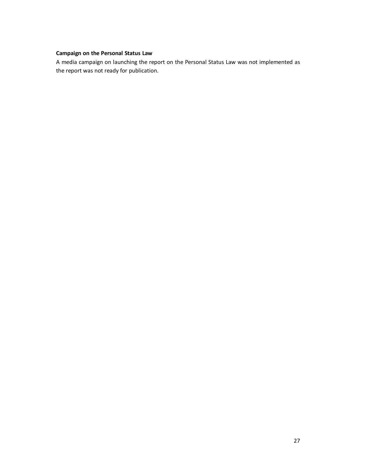## **Campaign on the Personal Status Law**

A media campaign on launching the report on the Personal Status Law was not implemented as the report was not ready for publication.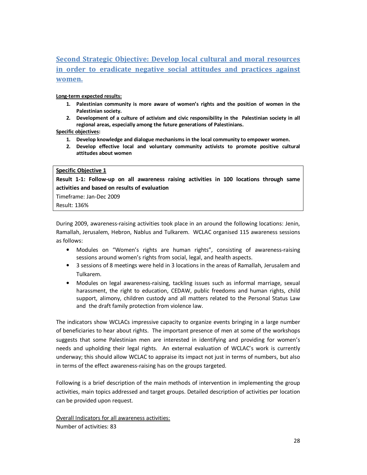**Second Strategic Objective: Develop local cultural and moral resources in order to eradicate negative social attitudes and practices against women.**

**Long-term expected results:** 

- **1. Palestinian community is more aware of women's rights and the position of women in the Palestinian society.**
- **2. Development of a culture of activism and civic responsibility in the Palestinian society in all regional areas, especially among the future generations of Palestinians.**

**Specific objectives:** 

- **1. Develop knowledge and dialogue mechanisms in the local community to empower women.**
- **2. Develop effective local and voluntary community activists to promote positive cultural attitudes about women**

#### **Specific Objective 1**

**Result 1-1: Follow-up on all awareness raising activities in 100 locations through same activities and based on results of evaluation** 

Timeframe: Jan-Dec 2009

Result: 136%

During 2009, awareness-raising activities took place in an around the following locations: Jenin, Ramallah, Jerusalem, Hebron, Nablus and Tulkarem. WCLAC organised 115 awareness sessions as follows:

- Modules on "Women's rights are human rights", consisting of awareness-raising sessions around women's rights from social, legal, and health aspects.
- 3 sessions of 8 meetings were held in 3 locations in the areas of Ramallah, Jerusalem and Tulkarem.
- Modules on legal awareness-raising, tackling issues such as informal marriage, sexual harassment, the right to education, CEDAW, public freedoms and human rights, child support, alimony, children custody and all matters related to the Personal Status Law and the draft family protection from violence law.

The indicators show WCLACs impressive capacity to organize events bringing in a large number of beneficiaries to hear about rights. The important presence of men at some of the workshops suggests that some Palestinian men are interested in identifying and providing for women's needs and upholding their legal rights. An external evaluation of WCLAC's work is currently underway; this should allow WCLAC to appraise its impact not just in terms of numbers, but also in terms of the effect awareness-raising has on the groups targeted.

Following is a brief description of the main methods of intervention in implementing the group activities, main topics addressed and target groups. Detailed description of activities per location can be provided upon request.

Overall Indicators for all awareness activities: Number of activities: 83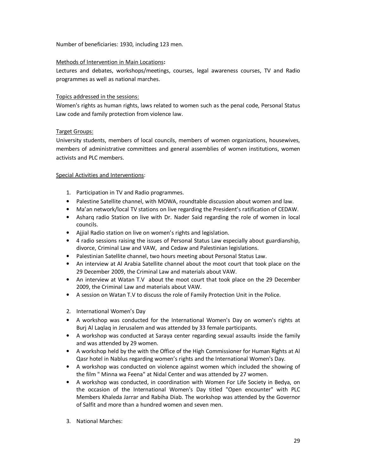Number of beneficiaries: 1930, including 123 men.

#### Methods of Intervention in Main Locations**:**

Lectures and debates, workshops/meetings, courses, legal awareness courses, TV and Radio programmes as well as national marches.

#### Topics addressed in the sessions:

Women's rights as human rights, laws related to women such as the penal code, Personal Status Law code and family protection from violence law.

#### Target Groups:

University students, members of local councils, members of women organizations, housewives, members of administrative committees and general assemblies of women institutions, women activists and PLC members.

#### Special Activities and Interventions:

- 1. Participation in TV and Radio programmes.
- Palestine Satellite channel, with MOWA, roundtable discussion about women and law.
- Ma'an network/local TV stations on live regarding the President's ratification of CEDAW.
- Asharq radio Station on live with Dr. Nader Said regarding the role of women in local councils.
- Ajjial Radio station on live on women's rights and legislation.
- 4 radio sessions raising the issues of Personal Status Law especially about guardianship, divorce, Criminal Law and VAW, and Cedaw and Palestinian legislations.
- Palestinian Satellite channel, two hours meeting about Personal Status Law.
- An interview at Al Arabia Satellite channel about the moot court that took place on the 29 December 2009, the Criminal Law and materials about VAW.
- An interview at Watan T.V about the moot court that took place on the 29 December 2009, the Criminal Law and materials about VAW.
- A session on Watan T.V to discuss the role of Family Protection Unit in the Police.
- 2. International Women's Day
- A workshop was conducted for the International Women's Day on women's rights at Burj Al Laqlaq in Jerusalem and was attended by 33 female participants.
- A workshop was conducted at Saraya center regarding sexual assaults inside the family and was attended by 29 women.
- A workshop held by the with the Office of the High Commissioner for Human Rights at Al Qasr hotel in Nablus regarding women's rights and the International Women's Day.
- A workshop was conducted on violence against women which included the showing of the film " Minna wa Feena" at Nidal Center and was attended by 27 women.
- A workshop was conducted, in coordination with Women For Life Society in Bedya, on the occasion of the International Women's Day titled "Open encounter" with PLC Members Khaleda Jarrar and Rabiha Diab. The workshop was attended by the Governor of Salfit and more than a hundred women and seven men.
- 3. National Marches: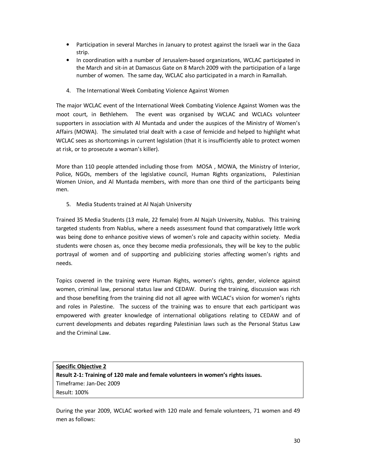- Participation in several Marches in January to protest against the Israeli war in the Gaza strip.
- In coordination with a number of Jerusalem-based organizations, WCLAC participated in the March and sit-in at Damascus Gate on 8 March 2009 with the participation of a large number of women. The same day, WCLAC also participated in a march in Ramallah.
- 4. The International Week Combating Violence Against Women

The major WCLAC event of the International Week Combating Violence Against Women was the moot court, in Bethlehem. The event was organised by WCLAC and WCLACs volunteer supporters in association with Al Muntada and under the auspices of the Ministry of Women's Affairs (MOWA). The simulated trial dealt with a case of femicide and helped to highlight what WCLAC sees as shortcomings in current legislation (that it is insufficiently able to protect women at risk, or to prosecute a woman's killer).

More than 110 people attended including those from MOSA , MOWA, the Ministry of Interior, Police, NGOs, members of the legislative council, Human Rights organizations, Palestinian Women Union, and Al Muntada members, with more than one third of the participants being men.

5. Media Students trained at Al Najah University

Trained 35 Media Students (13 male, 22 female) from Al Najah University, Nablus. This training targeted students from Nablus, where a needs assessment found that comparatively little work was being done to enhance positive views of women's role and capacity within society. Media students were chosen as, once they become media professionals, they will be key to the public portrayal of women and of supporting and publicizing stories affecting women's rights and needs.

Topics covered in the training were Human Rights, women's rights, gender, violence against women, criminal law, personal status law and CEDAW. During the training, discussion was rich and those benefiting from the training did not all agree with WCLAC's vision for women's rights and roles in Palestine. The success of the training was to ensure that each participant was empowered with greater knowledge of international obligations relating to CEDAW and of current developments and debates regarding Palestinian laws such as the Personal Status Law and the Criminal Law.

## **Specific Objective 2 Result 2-1: Training of 120 male and female volunteers in women's rights issues.**  Timeframe: Jan-Dec 2009 Result: 100%

During the year 2009, WCLAC worked with 120 male and female volunteers, 71 women and 49 men as follows: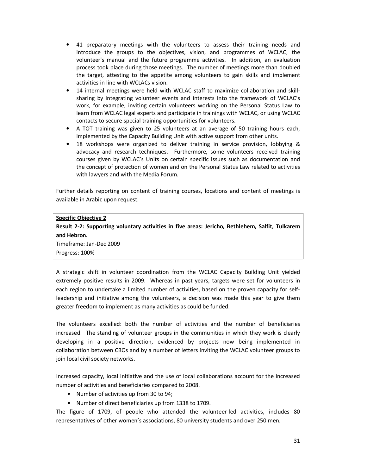- 41 preparatory meetings with the volunteers to assess their training needs and introduce the groups to the objectives, vision, and programmes of WCLAC, the volunteer's manual and the future programme activities. In addition, an evaluation process took place during those meetings. The number of meetings more than doubled the target, attesting to the appetite among volunteers to gain skills and implement activities in line with WCLACs vision.
- 14 internal meetings were held with WCLAC staff to maximize collaboration and skillsharing by integrating volunteer events and interests into the framework of WCLAC's work, for example, inviting certain volunteers working on the Personal Status Law to learn from WCLAC legal experts and participate in trainings with WCLAC, or using WCLAC contacts to secure special training opportunities for volunteers.
- A TOT training was given to 25 volunteers at an average of 50 training hours each, implemented by the Capacity Building Unit with active support from other units.
- 18 workshops were organized to deliver training in service provision, lobbying & advocacy and research techniques. Furthermore, some volunteers received training courses given by WCLAC's Units on certain specific issues such as documentation and the concept of protection of women and on the Personal Status Law related to activities with lawyers and with the Media Forum.

Further details reporting on content of training courses, locations and content of meetings is available in Arabic upon request.

#### **Specific Objective 2**

**Result 2-2: Supporting voluntary activities in five areas: Jericho, Bethlehem, Salfit, Tulkarem and Hebron.** 

Timeframe: Jan-Dec 2009 Progress: 100%

A strategic shift in volunteer coordination from the WCLAC Capacity Building Unit yielded extremely positive results in 2009. Whereas in past years, targets were set for volunteers in each region to undertake a limited number of activities, based on the proven capacity for selfleadership and initiative among the volunteers, a decision was made this year to give them greater freedom to implement as many activities as could be funded.

The volunteers excelled: both the number of activities and the number of beneficiaries increased. The standing of volunteer groups in the communities in which they work is clearly developing in a positive direction, evidenced by projects now being implemented in collaboration between CBOs and by a number of letters inviting the WCLAC volunteer groups to join local civil society networks.

Increased capacity, local initiative and the use of local collaborations account for the increased number of activities and beneficiaries compared to 2008.

- Number of activities up from 30 to 94;
- Number of direct beneficiaries up from 1338 to 1709.

The figure of 1709, of people who attended the volunteer-led activities, includes 80 representatives of other women's associations, 80 university students and over 250 men.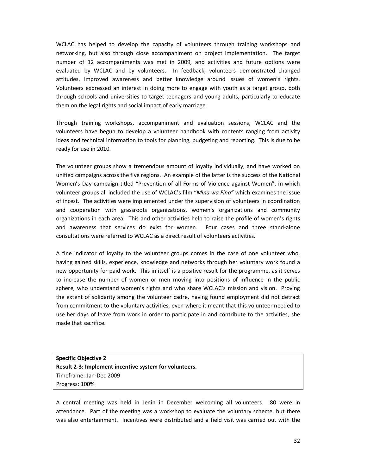WCLAC has helped to develop the capacity of volunteers through training workshops and networking, but also through close accompaniment on project implementation. The target number of 12 accompaniments was met in 2009, and activities and future options were evaluated by WCLAC and by volunteers. In feedback, volunteers demonstrated changed attitudes, improved awareness and better knowledge around issues of women's rights. Volunteers expressed an interest in doing more to engage with youth as a target group, both through schools and universities to target teenagers and young adults, particularly to educate them on the legal rights and social impact of early marriage.

Through training workshops, accompaniment and evaluation sessions, WCLAC and the volunteers have begun to develop a volunteer handbook with contents ranging from activity ideas and technical information to tools for planning, budgeting and reporting. This is due to be ready for use in 2010.

The volunteer groups show a tremendous amount of loyalty individually, and have worked on unified campaigns across the five regions. An example of the latter is the success of the National Women's Day campaign titled "Prevention of all Forms of Violence against Women", in which volunteer groups all included the use of WCLAC's film "*Mina wa Fina"* which examines the issue of incest. The activities were implemented under the supervision of volunteers in coordination and cooperation with grassroots organizations, women's organizations and community organizations in each area. This and other activities help to raise the profile of women's rights and awareness that services do exist for women. Four cases and three stand-alone consultations were referred to WCLAC as a direct result of volunteers activities.

A fine indicator of loyalty to the volunteer groups comes in the case of one volunteer who, having gained skills, experience, knowledge and networks through her voluntary work found a new opportunity for paid work. This in itself is a positive result for the programme, as it serves to increase the number of women or men moving into positions of influence in the public sphere, who understand women's rights and who share WCLAC's mission and vision. Proving the extent of solidarity among the volunteer cadre, having found employment did not detract from commitment to the voluntary activities, even where it meant that this volunteer needed to use her days of leave from work in order to participate in and contribute to the activities, she made that sacrifice.

**Specific Objective 2 Result 2-3: Implement incentive system for volunteers.**  Timeframe: Jan-Dec 2009 Progress: 100%

A central meeting was held in Jenin in December welcoming all volunteers. 80 were in attendance. Part of the meeting was a workshop to evaluate the voluntary scheme, but there was also entertainment. Incentives were distributed and a field visit was carried out with the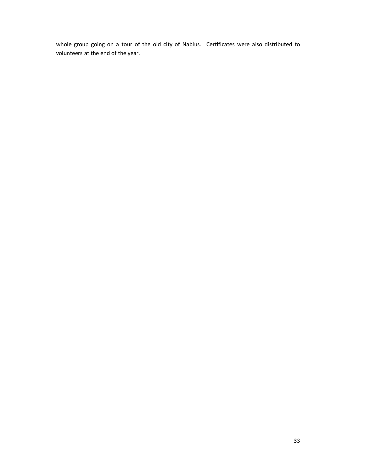whole group going on a tour of the old city of Nablus. Certificates were also distributed to volunteers at the end of the year.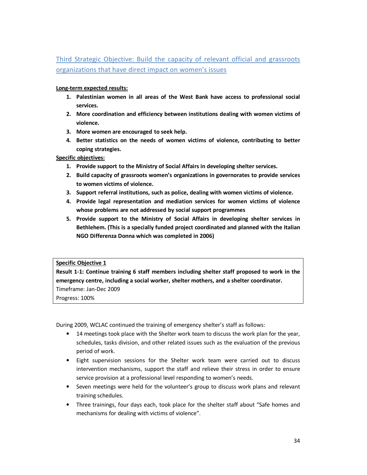Third Strategic Objective: Build the capacity of relevant official and grassroots organizations that have direct impact on women's issues

#### **Long-term expected results:**

- **1. Palestinian women in all areas of the West Bank have access to professional social services.**
- **2. More coordination and efficiency between institutions dealing with women victims of violence.**
- **3. More women are encouraged to seek help.**
- **4. Better statistics on the needs of women victims of violence, contributing to better coping strategies.**

**Specific objectives:** 

- **1. Provide support to the Ministry of Social Affairs in developing shelter services.**
- **2. Build capacity of grassroots women's organizations in governorates to provide services to women victims of violence.**
- **3. Support referral institutions, such as police, dealing with women victims of violence.**
- **4. Provide legal representation and mediation services for women victims of violence whose problems are not addressed by social support programmes**
- **5. Provide support to the Ministry of Social Affairs in developing shelter services in Bethlehem. (This is a specially funded project coordinated and planned with the Italian NGO Differenza Donna which was completed in 2006)**

#### **Specific Objective 1**

**Result 1-1: Continue training 6 staff members including shelter staff proposed to work in the emergency centre, including a social worker, shelter mothers, and a shelter coordinator.**  Timeframe: Jan-Dec 2009

Progress: 100%

During 2009, WCLAC continued the training of emergency shelter's staff as follows:

- 14 meetings took place with the Shelter work team to discuss the work plan for the year, schedules, tasks division, and other related issues such as the evaluation of the previous period of work.
- Eight supervision sessions for the Shelter work team were carried out to discuss intervention mechanisms, support the staff and relieve their stress in order to ensure service provision at a professional level responding to women's needs.
- Seven meetings were held for the volunteer's group to discuss work plans and relevant training schedules.
- Three trainings, four days each, took place for the shelter staff about "Safe homes and mechanisms for dealing with victims of violence".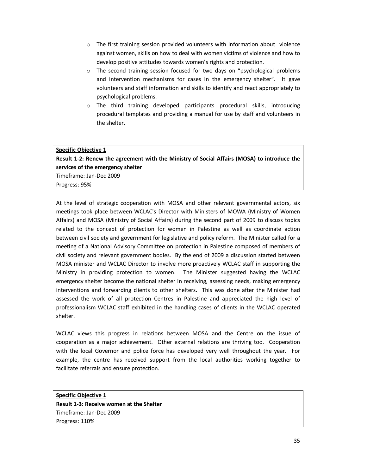- $\circ$  The first training session provided volunteers with information about violence against women, skills on how to deal with women victims of violence and how to develop positive attitudes towards women's rights and protection.
- $\circ$  The second training session focused for two days on "psychological problems and intervention mechanisms for cases in the emergency shelter". It gave volunteers and staff information and skills to identify and react appropriately to psychological problems.
- o The third training developed participants procedural skills, introducing procedural templates and providing a manual for use by staff and volunteers in the shelter.

#### **Specific Objective 1**

**Result 1-2: Renew the agreement with the Ministry of Social Affairs (MOSA) to introduce the services of the emergency shelter**  Timeframe: Jan-Dec 2009 Progress: 95%

At the level of strategic cooperation with MOSA and other relevant governmental actors, six meetings took place between WCLAC's Director with Ministers of MOWA (Ministry of Women Affairs) and MOSA (Ministry of Social Affairs) during the second part of 2009 to discuss topics related to the concept of protection for women in Palestine as well as coordinate action between civil society and government for legislative and policy reform. The Minister called for a meeting of a National Advisory Committee on protection in Palestine composed of members of civil society and relevant government bodies. By the end of 2009 a discussion started between MOSA minister and WCLAC Director to involve more proactively WCLAC staff in supporting the Ministry in providing protection to women. The Minister suggested having the WCLAC emergency shelter become the national shelter in receiving, assessing needs, making emergency interventions and forwarding clients to other shelters. This was done after the Minister had assessed the work of all protection Centres in Palestine and appreciated the high level of professionalism WCLAC staff exhibited in the handling cases of clients in the WCLAC operated shelter.

WCLAC views this progress in relations between MOSA and the Centre on the issue of cooperation as a major achievement. Other external relations are thriving too. Cooperation with the local Governor and police force has developed very well throughout the year. For example, the centre has received support from the local authorities working together to facilitate referrals and ensure protection.

**Specific Objective 1 Result 1-3: Receive women at the Shelter** Timeframe: Jan-Dec 2009 Progress: 110%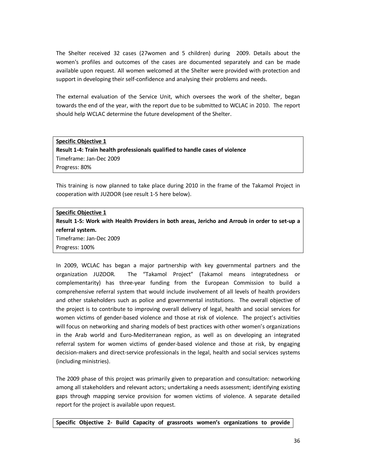The Shelter received 32 cases (27women and 5 children) during 2009. Details about the women's profiles and outcomes of the cases are documented separately and can be made available upon request. All women welcomed at the Shelter were provided with protection and support in developing their self-confidence and analysing their problems and needs.

The external evaluation of the Service Unit, which oversees the work of the shelter, began towards the end of the year, with the report due to be submitted to WCLAC in 2010. The report should help WCLAC determine the future development of the Shelter.

#### **Specific Objective 1**

**Result 1-4: Train health professionals qualified to handle cases of violence**  Timeframe: Jan-Dec 2009 Progress: 80%

This training is now planned to take place during 2010 in the frame of the Takamol Project in cooperation with JUZOOR (see result 1-5 here below).

## **Specific Objective 1 Result 1-5: Work with Health Providers in both areas, Jericho and Arroub in order to set-up a referral system.**  Timeframe: Jan-Dec 2009 Progress: 100%

In 2009, WCLAC has began a major partnership with key governmental partners and the organization JUZOOR. The "Takamol Project" (Takamol means integratedness or complementarity) has three-year funding from the European Commission to build a comprehensive referral system that would include involvement of all levels of health providers and other stakeholders such as police and governmental institutions. The overall objective of the project is to contribute to improving overall delivery of legal, health and social services for women victims of gender-based violence and those at risk of violence. The project's activities will focus on networking and sharing models of best practices with other women's organizations in the Arab world and Euro-Mediterranean region, as well as on developing an integrated referral system for women victims of gender-based violence and those at risk, by engaging decision-makers and direct-service professionals in the legal, health and social services systems (including ministries).

The 2009 phase of this project was primarily given to preparation and consultation: networking among all stakeholders and relevant actors; undertaking a needs assessment; identifying existing gaps through mapping service provision for women victims of violence. A separate detailed report for the project is available upon request.

**Specific Objective 2- Build Capacity of grassroots women's organizations to provide**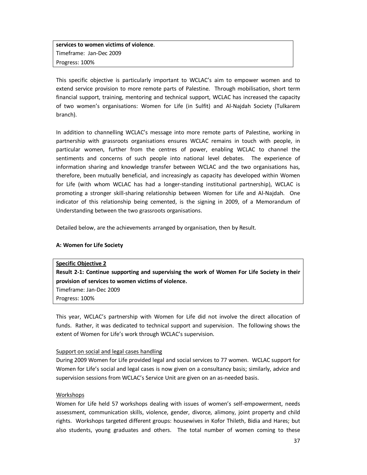**services to women victims of violence**. Timeframe: Jan-Dec 2009 Progress: 100%

This specific objective is particularly important to WCLAC's aim to empower women and to extend service provision to more remote parts of Palestine. Through mobilisation, short term financial support, training, mentoring and technical support, WCLAC has increased the capacity of two women's organisations: Women for Life (in Sulfit) and Al-Najdah Society (Tulkarem branch).

In addition to channelling WCLAC's message into more remote parts of Palestine, working in partnership with grassroots organisations ensures WCLAC remains in touch with people, in particular women, further from the centres of power, enabling WCLAC to channel the sentiments and concerns of such people into national level debates. The experience of information sharing and knowledge transfer between WCLAC and the two organisations has, therefore, been mutually beneficial, and increasingly as capacity has developed within Women for Life (with whom WCLAC has had a longer-standing institutional partnership), WCLAC is promoting a stronger skill-sharing relationship between Women for Life and Al-Najdah. One indicator of this relationship being cemented, is the signing in 2009, of a Memorandum of Understanding between the two grassroots organisations.

Detailed below, are the achievements arranged by organisation, then by Result.

#### **A: Women for Life Society**

| <b>Specific Objective 2</b>                                                                 |
|---------------------------------------------------------------------------------------------|
| Result 2-1: Continue supporting and supervising the work of Women For Life Society in their |
| provision of services to women victims of violence.                                         |
| Timeframe: Jan-Dec 2009                                                                     |
| Progress: 100%                                                                              |

This year, WCLAC's partnership with Women for Life did not involve the direct allocation of funds. Rather, it was dedicated to technical support and supervision. The following shows the extent of Women for Life's work through WCLAC's supervision.

#### Support on social and legal cases handling

During 2009 Women for Life provided legal and social services to 77 women. WCLAC support for Women for Life's social and legal cases is now given on a consultancy basis; similarly, advice and supervision sessions from WCLAC's Service Unit are given on an as-needed basis.

#### Workshops

Women for Life held 57 workshops dealing with issues of women's self-empowerment, needs assessment, communication skills, violence, gender, divorce, alimony, joint property and child rights. Workshops targeted different groups: housewives in Kofor Thileth, Bidia and Hares; but also students, young graduates and others. The total number of women coming to these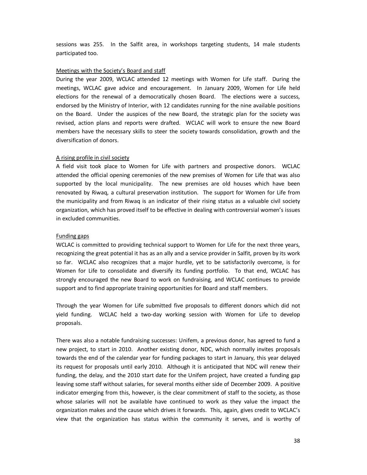sessions was 255. In the Salfit area, in workshops targeting students, 14 male students participated too.

#### Meetings with the Society's Board and staff

During the year 2009, WCLAC attended 12 meetings with Women for Life staff. During the meetings, WCLAC gave advice and encouragement. In January 2009, Women for Life held elections for the renewal of a democratically chosen Board. The elections were a success, endorsed by the Ministry of Interior, with 12 candidates running for the nine available positions on the Board. Under the auspices of the new Board, the strategic plan for the society was revised, action plans and reports were drafted. WCLAC will work to ensure the new Board members have the necessary skills to steer the society towards consolidation, growth and the diversification of donors.

#### A rising profile in civil society

A field visit took place to Women for Life with partners and prospective donors. WCLAC attended the official opening ceremonies of the new premises of Women for Life that was also supported by the local municipality. The new premises are old houses which have been renovated by Riwaq, a cultural preservation institution. The support for Women for Life from the municipality and from Riwaq is an indicator of their rising status as a valuable civil society organization, which has proved itself to be effective in dealing with controversial women's issues in excluded communities.

#### Funding gaps

WCLAC is committed to providing technical support to Women for Life for the next three years, recognizing the great potential it has as an ally and a service provider in Salfit, proven by its work so far. WCLAC also recognizes that a major hurdle, yet to be satisfactorily overcome, is for Women for Life to consolidate and diversify its funding portfolio. To that end, WCLAC has strongly encouraged the new Board to work on fundraising, and WCLAC continues to provide support and to find appropriate training opportunities for Board and staff members.

Through the year Women for Life submitted five proposals to different donors which did not yield funding. WCLAC held a two-day working session with Women for Life to develop proposals.

There was also a notable fundraising successes: Unifem, a previous donor, has agreed to fund a new project, to start in 2010. Another existing donor, NDC, which normally invites proposals towards the end of the calendar year for funding packages to start in January, this year delayed its request for proposals until early 2010. Although it is anticipated that NDC will renew their funding, the delay, and the 2010 start date for the Unifem project, have created a funding gap leaving some staff without salaries, for several months either side of December 2009. A positive indicator emerging from this, however, is the clear commitment of staff to the society, as those whose salaries will not be available have continued to work as they value the impact the organization makes and the cause which drives it forwards. This, again, gives credit to WCLAC's view that the organization has status within the community it serves, and is worthy of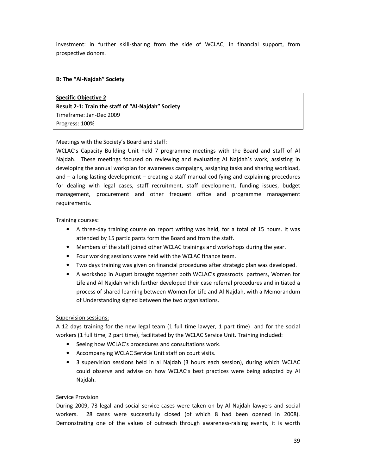investment: in further skill-sharing from the side of WCLAC; in financial support, from prospective donors.

## **B: The "Al-Najdah" Society**

**Specific Objective 2 Result 2-1: Train the staff of "Al-Najdah" Society**  Timeframe: Jan-Dec 2009 Progress: 100%

#### Meetings with the Society's Board and staff:

WCLAC's Capacity Building Unit held 7 programme meetings with the Board and staff of Al Najdah. These meetings focused on reviewing and evaluating Al Najdah's work, assisting in developing the annual workplan for awareness campaigns, assigning tasks and sharing workload, and – a long-lasting development – creating a staff manual codifying and explaining procedures for dealing with legal cases, staff recruitment, staff development, funding issues, budget management, procurement and other frequent office and programme management requirements.

#### Training courses:

- A three-day training course on report writing was held, for a total of 15 hours. It was attended by 15 participants form the Board and from the staff.
- Members of the staff joined other WCLAC trainings and workshops during the year.
- Four working sessions were held with the WCLAC finance team.
- Two days training was given on financial procedures after strategic plan was developed.
- A workshop in August brought together both WCLAC's grassroots partners, Women for Life and Al Najdah which further developed their case referral procedures and initiated a process of shared learning between Women for Life and Al Najdah, with a Memorandum of Understanding signed between the two organisations.

#### Supervision sessions:

A 12 days training for the new legal team (1 full time lawyer, 1 part time) and for the social workers (1 full time, 2 part time), facilitated by the WCLAC Service Unit. Training included:

- Seeing how WCLAC's procedures and consultations work.
- Accompanying WCLAC Service Unit staff on court visits.
- 3 supervision sessions held in al Najdah (3 hours each session), during which WCLAC could observe and advise on how WCLAC's best practices were being adopted by Al Najdah.

#### Service Provision

During 2009, 73 legal and social service cases were taken on by Al Najdah lawyers and social workers. 28 cases were successfully closed (of which 8 had been opened in 2008). Demonstrating one of the values of outreach through awareness-raising events, it is worth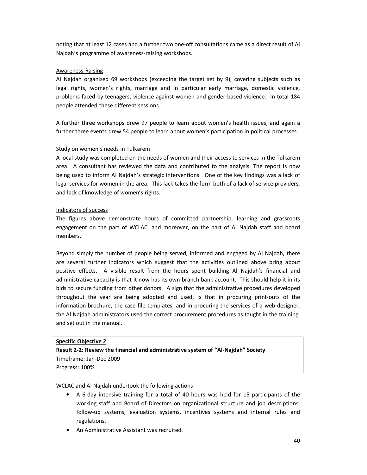noting that at least 12 cases and a further two one-off consultations came as a direct result of Al Najdah's programme of awareness-raising workshops.

#### Awareness-Raising

Al Najdah organised 69 workshops (exceeding the target set by 9), covering subjects such as legal rights, women's rights, marriage and in particular early marriage, domestic violence, problems faced by teenagers, violence against women and gender-based violence. In total 184 people attended these different sessions.

A further three workshops drew 97 people to learn about women's health issues, and again a further three events drew 54 people to learn about women's participation in political processes.

#### Study on women's needs in Tulkarem

A local study was completed on the needs of women and their access to services in the Tulkarem area. A consultant has reviewed the data and contributed to the analysis. The report is now being used to inform Al Najdah's strategic interventions. One of the key findings was a lack of legal services for women in the area. This lack takes the form both of a lack of service providers, and lack of knowledge of women's rights.

#### Indicators of success

The figures above demonstrate hours of committed partnership, learning and grassroots engagement on the part of WCLAC, and moreover, on the part of Al Najdah staff and board members.

Beyond simply the number of people being served, informed and engaged by Al Najdah, there are several further indicators which suggest that the activities outlined above bring about positive effects. A visible result from the hours spent building Al Najdah's financial and administrative capacity is that it now has its own branch bank account. This should help it in its bids to secure funding from other donors. A sign that the administrative procedures developed throughout the year are being adopted and used, is that in procuring print-outs of the information brochure, the case file templates, and in procuring the services of a web-designer, the Al Najdah administrators used the correct procurement procedures as taught in the training, and set out in the manual.

## **Specific Objective 2 Result 2-2: Review the financial and administrative system of "Al-Najdah" Society**  Timeframe: Jan-Dec 2009 Progress: 100%

WCLAC and Al Najdah undertook the following actions:

- A 6-day intensive training for a total of 40 hours was held for 15 participants of the working staff and Board of Directors on organizational structure and job descriptions, follow-up systems, evaluation systems, incentives systems and internal rules and regulations.
- An Administrative Assistant was recruited.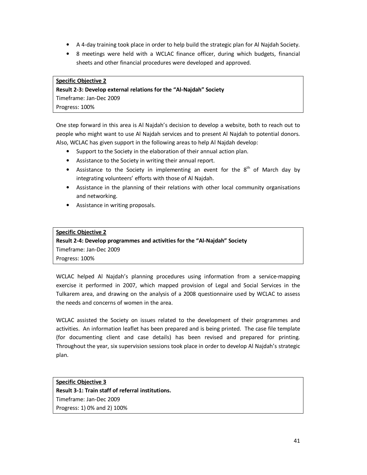- A 4-day training took place in order to help build the strategic plan for Al Najdah Society.
- 8 meetings were held with a WCLAC finance officer, during which budgets, financial sheets and other financial procedures were developed and approved.

#### **Specific Objective 2**

**Result 2-3: Develop external relations for the "Al-Najdah" Society**  Timeframe: Jan-Dec 2009 Progress: 100%

One step forward in this area is Al Najdah's decision to develop a website, both to reach out to people who might want to use Al Najdah services and to present Al Najdah to potential donors. Also, WCLAC has given support in the following areas to help Al Najdah develop:

- Support to the Society in the elaboration of their annual action plan.
- Assistance to the Society in writing their annual report.
- Assistance to the Society in implementing an event for the  $8<sup>th</sup>$  of March day by integrating volunteers' efforts with those of Al Najdah.
- Assistance in the planning of their relations with other local community organisations and networking.
- Assistance in writing proposals.

## **Specific Objective 2 Result 2-4: Develop programmes and activities for the "Al-Najdah" Society**  Timeframe: Jan-Dec 2009 Progress: 100%

WCLAC helped Al Najdah's planning procedures using information from a service-mapping exercise it performed in 2007, which mapped provision of Legal and Social Services in the Tulkarem area, and drawing on the analysis of a 2008 questionnaire used by WCLAC to assess the needs and concerns of women in the area.

WCLAC assisted the Society on issues related to the development of their programmes and activities. An information leaflet has been prepared and is being printed. The case file template (for documenting client and case details) has been revised and prepared for printing. Throughout the year, six supervision sessions took place in order to develop Al Najdah's strategic plan.

**Specific Objective 3 Result 3-1: Train staff of referral institutions.**  Timeframe: Jan-Dec 2009 Progress: 1) 0% and 2) 100%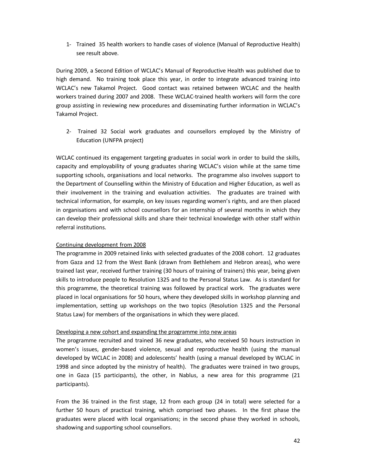1- Trained 35 health workers to handle cases of violence (Manual of Reproductive Health) see result above.

During 2009, a Second Edition of WCLAC's Manual of Reproductive Health was published due to high demand. No training took place this year, in order to integrate advanced training into WCLAC's new Takamol Project. Good contact was retained between WCLAC and the health workers trained during 2007 and 2008. These WCLAC-trained health workers will form the core group assisting in reviewing new procedures and disseminating further information in WCLAC's Takamol Project.

2- Trained 32 Social work graduates and counsellors employed by the Ministry of Education (UNFPA project)

WCLAC continued its engagement targeting graduates in social work in order to build the skills, capacity and employability of young graduates sharing WCLAC's vision while at the same time supporting schools, organisations and local networks. The programme also involves support to the Department of Counselling within the Ministry of Education and Higher Education, as well as their involvement in the training and evaluation activities. The graduates are trained with technical information, for example, on key issues regarding women's rights, and are then placed in organisations and with school counsellors for an internship of several months in which they can develop their professional skills and share their technical knowledge with other staff within referral institutions.

#### Continuing development from 2008

The programme in 2009 retained links with selected graduates of the 2008 cohort. 12 graduates from Gaza and 12 from the West Bank (drawn from Bethlehem and Hebron areas), who were trained last year, received further training (30 hours of training of trainers) this year, being given skills to introduce people to Resolution 1325 and to the Personal Status Law. As is standard for this programme, the theoretical training was followed by practical work. The graduates were placed in local organisations for 50 hours, where they developed skills in workshop planning and implementation, setting up workshops on the two topics (Resolution 1325 and the Personal Status Law) for members of the organisations in which they were placed.

#### Developing a new cohort and expanding the programme into new areas

The programme recruited and trained 36 new graduates, who received 50 hours instruction in women's issues, gender-based violence, sexual and reproductive health (using the manual developed by WCLAC in 2008) and adolescents' health (using a manual developed by WCLAC in 1998 and since adopted by the ministry of health). The graduates were trained in two groups, one in Gaza (15 participants), the other, in Nablus, a new area for this programme (21 participants).

From the 36 trained in the first stage, 12 from each group (24 in total) were selected for a further 50 hours of practical training, which comprised two phases. In the first phase the graduates were placed with local organisations; in the second phase they worked in schools, shadowing and supporting school counsellors.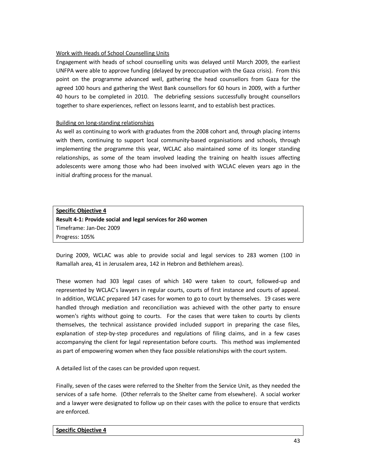#### Work with Heads of School Counselling Units

Engagement with heads of school counselling units was delayed until March 2009, the earliest UNFPA were able to approve funding (delayed by preoccupation with the Gaza crisis). From this point on the programme advanced well, gathering the head counsellors from Gaza for the agreed 100 hours and gathering the West Bank counsellors for 60 hours in 2009, with a further 40 hours to be completed in 2010. The debriefing sessions successfully brought counsellors together to share experiences, reflect on lessons learnt, and to establish best practices.

#### Building on long-standing relationships

As well as continuing to work with graduates from the 2008 cohort and, through placing interns with them, continuing to support local community-based organisations and schools, through implementing the programme this year, WCLAC also maintained some of its longer standing relationships, as some of the team involved leading the training on health issues affecting adolescents were among those who had been involved with WCLAC eleven years ago in the initial drafting process for the manual.

## **Specific Objective 4 Result 4-1: Provide social and legal services for 260 women**  Timeframe: Jan-Dec 2009 Progress: 105%

During 2009, WCLAC was able to provide social and legal services to 283 women (100 in Ramallah area, 41 in Jerusalem area, 142 in Hebron and Bethlehem areas).

These women had 303 legal cases of which 140 were taken to court, followed-up and represented by WCLAC's lawyers in regular courts, courts of first instance and courts of appeal. In addition, WCLAC prepared 147 cases for women to go to court by themselves. 19 cases were handled through mediation and reconciliation was achieved with the other party to ensure women's rights without going to courts. For the cases that were taken to courts by clients themselves, the technical assistance provided included support in preparing the case files, explanation of step-by-step procedures and regulations of filing claims, and in a few cases accompanying the client for legal representation before courts. This method was implemented as part of empowering women when they face possible relationships with the court system.

A detailed list of the cases can be provided upon request.

Finally, seven of the cases were referred to the Shelter from the Service Unit, as they needed the services of a safe home. (Other referrals to the Shelter came from elsewhere). A social worker and a lawyer were designated to follow up on their cases with the police to ensure that verdicts are enforced.

#### **Specific Objective 4**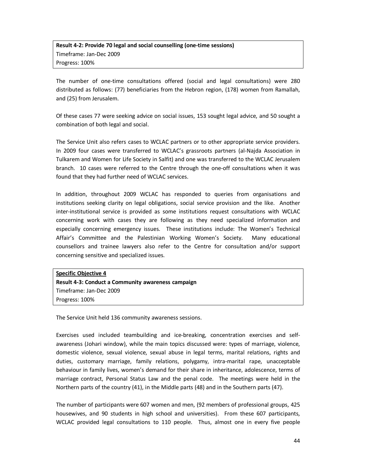## **Result 4-2: Provide 70 legal and social counselling (one-time sessions)** Timeframe: Jan-Dec 2009 Progress: 100%

The number of one-time consultations offered (social and legal consultations) were 280 distributed as follows: (77) beneficiaries from the Hebron region, (178) women from Ramallah, and (25) from Jerusalem.

Of these cases 77 were seeking advice on social issues, 153 sought legal advice, and 50 sought a combination of both legal and social.

The Service Unit also refers cases to WCLAC partners or to other appropriate service providers. In 2009 four cases were transferred to WCLAC's grassroots partners (al-Najda Association in Tulkarem and Women for Life Society in Salfit) and one was transferred to the WCLAC Jerusalem branch. 10 cases were referred to the Centre through the one-off consultations when it was found that they had further need of WCLAC services.

In addition, throughout 2009 WCLAC has responded to queries from organisations and institutions seeking clarity on legal obligations, social service provision and the like. Another inter-institutional service is provided as some institutions request consultations with WCLAC concerning work with cases they are following as they need specialized information and especially concerning emergency issues. These institutions include: The Women's Technical Affair's Committee and the Palestinian Working Women's Society. Many educational counsellors and trainee lawyers also refer to the Centre for consultation and/or support concerning sensitive and specialized issues.

**Specific Objective 4 Result 4-3: Conduct a Community awareness campaign** Timeframe: Jan-Dec 2009 Progress: 100%

The Service Unit held 136 community awareness sessions.

Exercises used included teambuilding and ice-breaking, concentration exercises and selfawareness (Johari window), while the main topics discussed were: types of marriage, violence, domestic violence, sexual violence, sexual abuse in legal terms, marital relations, rights and duties, customary marriage, family relations, polygamy, intra-marital rape, unacceptable behaviour in family lives, women's demand for their share in inheritance, adolescence, terms of marriage contract, Personal Status Law and the penal code. The meetings were held in the Northern parts of the country (41), in the Middle parts (48) and in the Southern parts (47).

The number of participants were 607 women and men, (92 members of professional groups, 425 housewives, and 90 students in high school and universities). From these 607 participants, WCLAC provided legal consultations to 110 people. Thus, almost one in every five people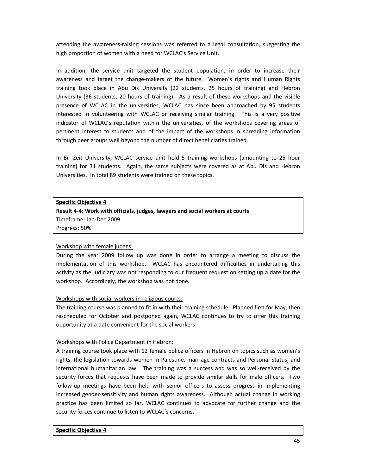attending the awareness-raising sessions was referred to a legal consultation, suggesting the high proportion of women with a need for WCLAC's Service Unit.

In addition, the service unit targeted the student population, in order to increase their awareness and target the change-makers of the future. Women's rights and Human Rights training took place in Abu Dis University (22 students, 25 hours of training) and Hebron University (36 students, 20 hours of training). As a result of these workshops and the visible presence of WCLAC in the universities, WCLAC has since been approached by 95 students interested in volunteering with WCLAC or receiving similar training. This is a very positive indicator of WCLAC's reputation within the universities, of the workshops covering areas of pertinent interest to students and of the impact of the workshops in spreading information through peer groups well beyond the number of direct beneficiaries trained.

In Bir Zeit University, WCLAC service unit held 5 training workshops (amounting to 25 hour training) for 31 students. Again, the same subjects were covered as at Abu Dis and Hebron Universities. In total 89 students were trained on these topics.

#### **Specific Objective 4**

**Result 4-4: Work with officials, judges, lawyers and social workers at courts**  Timeframe: Jan-Dec 2009 Progress: 50%

#### Workshop with female judges:

During the year 2009 follow up was done in order to arrange a meeting to discuss the implementation of this workshop. WCLAC has encountered difficulties in undertaking this activity as the Judiciary was not responding to our frequent request on setting up a date for the workshop. Accordingly, the workshop was not done.

#### Workshops with social workers in religious courts:

The training course was planned to fit in with their training schedule. Planned first for May, then rescheduled for October and postponed again, WCLAC continues to try to offer this training opportunity at a date convenient for the social workers.

#### Workshops with Police Department in Hebron:

A training course took place with 12 female police officers in Hebron on topics such as women's rights, the legislation towards women in Palestine, marriage contracts and Personal Status, and international humanitarian law. The training was a success and was so well-received by the security forces that requests have been made to provide similar skills for male officers. Two follow-up meetings have been held with senior officers to assess progress in implementing increased gender-sensitivity and human rights awareness. Although actual change in working practice has been limited so far, WCLAC continues to advocate for further change and the security forces continue to listen to WCLAC's concerns.

#### **Specific Objective 4**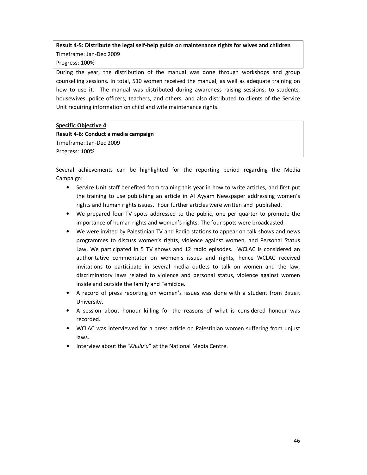## **Result 4-5: Distribute the legal self-help guide on maintenance rights for wives and children** Timeframe: Jan-Dec 2009 Progress: 100%

During the year, the distribution of the manual was done through workshops and group counselling sessions. In total, 510 women received the manual, as well as adequate training on how to use it. The manual was distributed during awareness raising sessions, to students, housewives, police officers, teachers, and others, and also distributed to clients of the Service Unit requiring information on child and wife maintenance rights.

#### **Specific Objective 4 Result 4-6: Conduct a media campaign**

Timeframe: Jan-Dec 2009 Progress: 100%

Several achievements can be highlighted for the reporting period regarding the Media Campaign:

- Service Unit staff benefited from training this year in how to write articles, and first put the training to use publishing an article in Al Ayyam Newspaper addressing women's rights and human rights issues. Four further articles were written and published.
- We prepared four TV spots addressed to the public, one per quarter to promote the importance of human rights and women's rights. The four spots were broadcasted.
- We were invited by Palestinian TV and Radio stations to appear on talk shows and news programmes to discuss women's rights, violence against women, and Personal Status Law. We participated in 5 TV shows and 12 radio episodes. WCLAC is considered an authoritative commentator on women's issues and rights, hence WCLAC received invitations to participate in several media outlets to talk on women and the law, discriminatory laws related to violence and personal status, violence against women inside and outside the family and Femicide.
- A record of press reporting on women's issues was done with a student from Birzeit University.
- A session about honour killing for the reasons of what is considered honour was recorded.
- WCLAC was interviewed for a press article on Palestinian women suffering from unjust laws.
- Interview about the "*Khulu'u*" at the National Media Centre.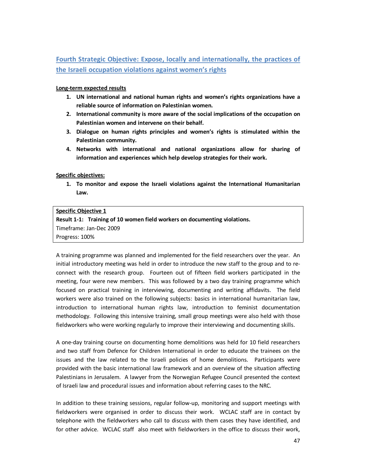# **Fourth Strategic Objective: Expose, locally and internationally, the practices of the Israeli occupation violations against women's rights**

**Long-term expected results** 

- **1. UN international and national human rights and women's rights organizations have a reliable source of information on Palestinian women.**
- **2. International community is more aware of the social implications of the occupation on Palestinian women and intervene on their behalf.**
- **3. Dialogue on human rights principles and women's rights is stimulated within the Palestinian community.**
- **4. Networks with international and national organizations allow for sharing of information and experiences which help develop strategies for their work.**

**Specific objectives:** 

**1. To monitor and expose the Israeli violations against the International Humanitarian Law.** 

#### **Specific Objective 1**

**Result 1-1: Training of 10 women field workers on documenting violations.** 

Timeframe: Jan-Dec 2009

Progress: 100%

A training programme was planned and implemented for the field researchers over the year. An initial introductory meeting was held in order to introduce the new staff to the group and to reconnect with the research group. Fourteen out of fifteen field workers participated in the meeting, four were new members. This was followed by a two day training programme which focused on practical training in interviewing, documenting and writing affidavits. The field workers were also trained on the following subjects: basics in international humanitarian law, introduction to international human rights law, introduction to feminist documentation methodology. Following this intensive training, small group meetings were also held with those fieldworkers who were working regularly to improve their interviewing and documenting skills.

A one-day training course on documenting home demolitions was held for 10 field researchers and two staff from Defence for Children International in order to educate the trainees on the issues and the law related to the Israeli policies of home demolitions. Participants were provided with the basic international law framework and an overview of the situation affecting Palestinians in Jerusalem. A lawyer from the Norwegian Refugee Council presented the context of Israeli law and procedural issues and information about referring cases to the NRC.

In addition to these training sessions, regular follow-up, monitoring and support meetings with fieldworkers were organised in order to discuss their work. WCLAC staff are in contact by telephone with the fieldworkers who call to discuss with them cases they have identified, and for other advice. WCLAC staff also meet with fieldworkers in the office to discuss their work,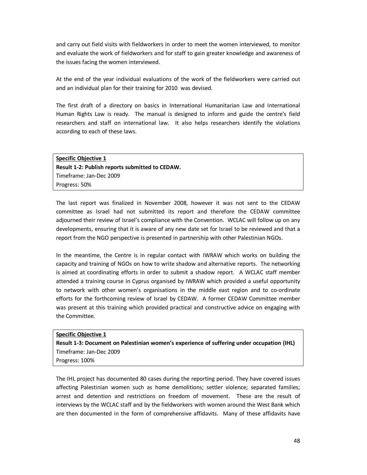and carry out field visits with fieldworkers in order to meet the women interviewed, to monitor and evaluate the work of fieldworkers and for staff to gain greater knowledge and awareness of the issues facing the women interviewed.

At the end of the year individual evaluations of the work of the fieldworkers were carried out and an individual plan for their training for 2010 was devised.

The first draft of a directory on basics in International Humanitarian Law and International Human Rights Law is ready. The manual is designed to inform and guide the centre's field researchers and staff on international law. It also helps researchers identify the violations according to each of these laws.

**Specific Objective 1 Result 1-2: Publish reports submitted to CEDAW.**  Timeframe: Jan-Dec 2009 Progress: 50%

The last report was finalized in November 2008, however it was not sent to the CEDAW committee as Israel had not submitted its report and therefore the CEDAW committee adjourned their review of Israel's compliance with the Convention. WCLAC will follow up on any developments, ensuring that it is aware of any new date set for Israel to be reviewed and that a report from the NGO perspective is presented in partnership with other Palestinian NGOs.

In the meantime, the Centre is in regular contact with IWRAW which works on building the capacity and training of NGOs on how to write shadow and alternative reports. The networking is aimed at coordinating efforts in order to submit a shadow report. A WCLAC staff member attended a training course in Cyprus organised by IWRAW which provided a useful opportunity to network with other women's organisations in the middle east region and to co-ordinate efforts for the forthcoming review of Israel by CEDAW. A former CEDAW Committee member was present at this training which provided practical and constructive advice on engaging with the Committee.

**Specific Objective 1 Result 1-3: Document on Palestinian women's experience of suffering under occupation (IHL)**  Timeframe: Jan-Dec 2009 Progress: 100%

The IHL project has documented 80 cases during the reporting period. They have covered issues affecting Palestinian women such as home demolitions; settler violence; separated families; arrest and detention and restrictions on freedom of movement. These are the result of interviews by the WCLAC staff and by the fieldworkers with women around the West Bank which are then documented in the form of comprehensive affidavits. Many of these affidavits have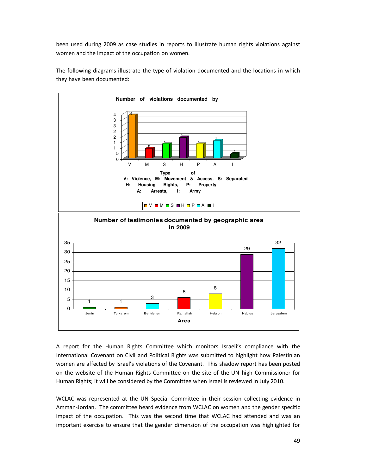been used during 2009 as case studies in reports to illustrate human rights violations against women and the impact of the occupation on women.



The following diagrams illustrate the type of violation documented and the locations in which they have been documented:

A report for the Human Rights Committee which monitors Israeli's compliance with the International Covenant on Civil and Political Rights was submitted to highlight how Palestinian women are affected by Israel's violations of the Covenant. This shadow report has been posted on the website of the Human Rights Committee on the site of the UN high Commissioner for Human Rights; it will be considered by the Committee when Israel is reviewed in July 2010.

WCLAC was represented at the UN Special Committee in their session collecting evidence in Amman-Jordan. The committee heard evidence from WCLAC on women and the gender specific impact of the occupation. This was the second time that WCLAC had attended and was an important exercise to ensure that the gender dimension of the occupation was highlighted for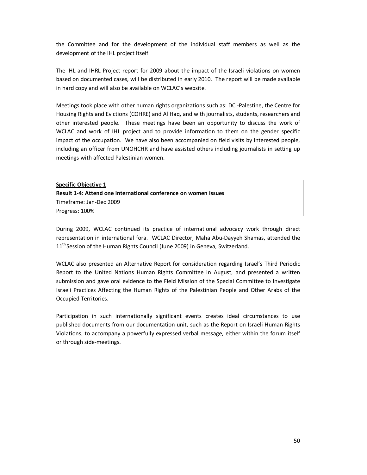the Committee and for the development of the individual staff members as well as the development of the IHL project itself.

The IHL and IHRL Project report for 2009 about the impact of the Israeli violations on women based on documented cases, will be distributed in early 2010. The report will be made available in hard copy and will also be available on WCLAC's website.

Meetings took place with other human rights organizations such as: DCI-Palestine, the Centre for Housing Rights and Evictions (COHRE) and Al Haq, and with journalists, students, researchers and other interested people. These meetings have been an opportunity to discuss the work of WCLAC and work of IHL project and to provide information to them on the gender specific impact of the occupation. We have also been accompanied on field visits by interested people, including an officer from UNOHCHR and have assisted others including journalists in setting up meetings with affected Palestinian women.

**Specific Objective 1 Result 1-4: Attend one international conference on women issues**  Timeframe: Jan-Dec 2009 Progress: 100%

During 2009, WCLAC continued its practice of international advocacy work through direct representation in international fora. WCLAC Director, Maha Abu-Dayyeh Shamas, attended the 11<sup>th</sup> Session of the Human Rights Council (June 2009) in Geneva, Switzerland.

WCLAC also presented an Alternative Report for consideration regarding Israel's Third Periodic Report to the United Nations Human Rights Committee in August, and presented a written submission and gave oral evidence to the Field Mission of the Special Committee to Investigate Israeli Practices Affecting the Human Rights of the Palestinian People and Other Arabs of the Occupied Territories.

Participation in such internationally significant events creates ideal circumstances to use published documents from our documentation unit, such as the Report on Israeli Human Rights Violations, to accompany a powerfully expressed verbal message, either within the forum itself or through side-meetings.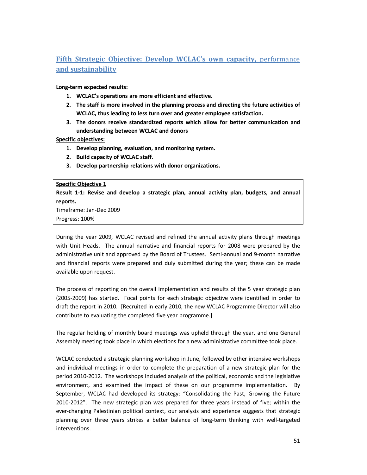# **Fifth Strategic Objective: Develop WCLAC's own capacity,** performance **and sustainability**

#### **Long-term expected results:**

- **1. WCLAC's operations are more efficient and effective.**
- **2. The staff is more involved in the planning process and directing the future activities of WCLAC, thus leading to less turn over and greater employee satisfaction.**
- **3. The donors receive standardized reports which allow for better communication and understanding between WCLAC and donors**

**Specific objectives:** 

- **1. Develop planning, evaluation, and monitoring system.**
- **2. Build capacity of WCLAC staff.**
- **3. Develop partnership relations with donor organizations.**

#### **Specific Objective 1**

**Result 1-1: Revise and develop a strategic plan, annual activity plan, budgets, and annual reports.** 

Timeframe: Jan-Dec 2009

Progress: 100%

During the year 2009, WCLAC revised and refined the annual activity plans through meetings with Unit Heads. The annual narrative and financial reports for 2008 were prepared by the administrative unit and approved by the Board of Trustees. Semi-annual and 9-month narrative and financial reports were prepared and duly submitted during the year; these can be made available upon request.

The process of reporting on the overall implementation and results of the 5 year strategic plan (2005-2009) has started. Focal points for each strategic objective were identified in order to draft the report in 2010. [Recruited in early 2010, the new WCLAC Programme Director will also contribute to evaluating the completed five year programme.]

The regular holding of monthly board meetings was upheld through the year, and one General Assembly meeting took place in which elections for a new administrative committee took place.

WCLAC conducted a strategic planning workshop in June, followed by other intensive workshops and individual meetings in order to complete the preparation of a new strategic plan for the period 2010-2012. The workshops included analysis of the political, economic and the legislative environment, and examined the impact of these on our programme implementation. By September, WCLAC had developed its strategy: "Consolidating the Past, Growing the Future 2010-2012". The new strategic plan was prepared for three years instead of five; within the ever-changing Palestinian political context, our analysis and experience suggests that strategic planning over three years strikes a better balance of long-term thinking with well-targeted interventions.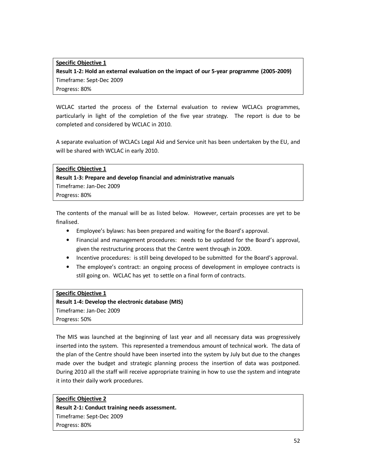#### **Specific Objective 1**

**Result 1-2: Hold an external evaluation on the impact of our 5-year programme (2005-2009)**  Timeframe: Sept-Dec 2009 Progress: 80%

WCLAC started the process of the External evaluation to review WCLACs programmes, particularly in light of the completion of the five year strategy. The report is due to be completed and considered by WCLAC in 2010.

A separate evaluation of WCLACs Legal Aid and Service unit has been undertaken by the EU, and will be shared with WCLAC in early 2010.

**Specific Objective 1 Result 1-3: Prepare and develop financial and administrative manuals**  Timeframe: Jan-Dec 2009 Progress: 80%

The contents of the manual will be as listed below. However, certain processes are yet to be finalised.

- Employee's bylaws: has been prepared and waiting for the Board's approval.
- Financial and management procedures: needs to be updated for the Board's approval, given the restructuring process that the Centre went through in 2009.
- Incentive procedures: is still being developed to be submitted for the Board's approval.
- The employee's contract: an ongoing process of development in employee contracts is still going on. WCLAC has yet to settle on a final form of contracts.

#### **Specific Objective 1**

**Result 1-4: Develop the electronic database (MIS)**  Timeframe: Jan-Dec 2009 Progress: 50%

The MIS was launched at the beginning of last year and all necessary data was progressively inserted into the system. This represented a tremendous amount of technical work. The data of the plan of the Centre should have been inserted into the system by July but due to the changes made over the budget and strategic planning process the insertion of data was postponed. During 2010 all the staff will receive appropriate training in how to use the system and integrate it into their daily work procedures.

**Specific Objective 2 Result 2-1: Conduct training needs assessment.**  Timeframe: Sept-Dec 2009 Progress: 80%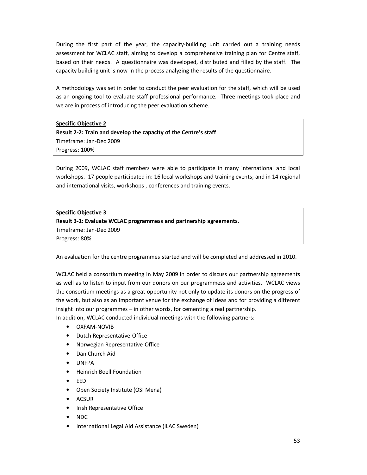During the first part of the year, the capacity-building unit carried out a training needs assessment for WCLAC staff, aiming to develop a comprehensive training plan for Centre staff, based on their needs. A questionnaire was developed, distributed and filled by the staff. The capacity building unit is now in the process analyzing the results of the questionnaire.

A methodology was set in order to conduct the peer evaluation for the staff, which will be used as an ongoing tool to evaluate staff professional performance. Three meetings took place and we are in process of introducing the peer evaluation scheme.

#### **Specific Objective 2**

**Result 2-2: Train and develop the capacity of the Centre's staff**  Timeframe: Jan-Dec 2009 Progress: 100%

During 2009, WCLAC staff members were able to participate in many international and local workshops. 17 people participated in: 16 local workshops and training events; and in 14 regional and international visits, workshops , conferences and training events.

#### **Specific Objective 3**

**Result 3-1: Evaluate WCLAC programmess and partnership agreements.** 

Timeframe: Jan-Dec 2009 Progress: 80%

An evaluation for the centre programmes started and will be completed and addressed in 2010.

WCLAC held a consortium meeting in May 2009 in order to discuss our partnership agreements as well as to listen to input from our donors on our programmess and activities. WCLAC views the consortium meetings as a great opportunity not only to update its donors on the progress of the work, but also as an important venue for the exchange of ideas and for providing a different insight into our programmes – in other words, for cementing a real partnership.

In addition, WCLAC conducted individual meetings with the following partners:

- OXFAM-NOVIB
- Dutch Representative Office
- Norwegian Representative Office
- Dan Church Aid
- UNFPA
- Heinrich Boell Foundation
- EED
- Open Society Institute (OSI Mena)
- **ACSUR**
- Irish Representative Office
- NDC
- International Legal Aid Assistance (ILAC Sweden)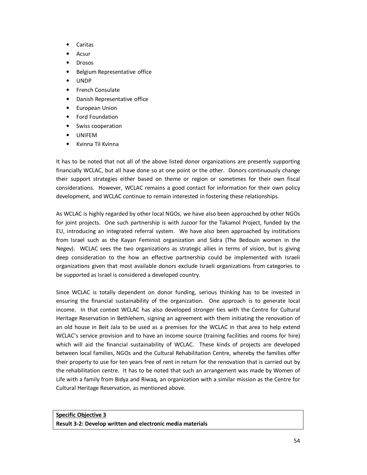- Caritas
- Acsur
- **Drosos**
- Belgium Representative office
- UNDP
- French Consulate
- Danish Representative office
- European Union
- Ford Foundation
- Swiss cooperation
- UNIFEM
- Kvinna Til Kvinna

It has to be noted that not all of the above listed donor organizations are presently supporting financially WCLAC, but all have done so at one point or the other. Donors continuously change their support strategies either based on theme or region or sometimes for their own fiscal considerations. However, WCLAC remains a good contact for information for their own policy development, and WCLAC continue to remain interested in fostering these relationships.

As WCLAC is highly regarded by other local NGOs, we have also been approached by other NGOs for joint projects. One such partnership is with Juzoor for the Takamol Project, funded by the EU, introducing an integrated referral system. We have also been approached by institutions from Israel such as the Kayan Feminist organization and Sidra (The Bedouin women in the Negev). WCLAC sees the two organizations as strategic allies in terms of vision, but is giving deep consideration to the how an effective partnership could be implemented with Israeli organizations given that most available donors exclude Israeli organizations from categories to be supported as Israel is considered a developed country.

Since WCLAC is totally dependent on donor funding, serious thinking has to be invested in ensuring the financial sustainability of the organization. One approach is to generate local income. In that context WCLAC has also developed stronger ties with the Centre for Cultural Heritage Reservation in Bethlehem, signing an agreement with them initiating the renovation of an old house in Beit Jala to be used as a premises for the WCLAC in that area to help extend WCLAC's service provision and to have an income source (training facilities and rooms for hire) which will aid the financial sustainability of WCLAC. These kinds of projects are developed between local families, NGOs and the Cultural Rehabilitation Centre, whereby the families offer their property to use for ten years free of rent in return for the renovation that is carried out by the rehabilitation centre. It has to be noted that such an arrangement was made by Women of Life with a family from Bidya and Riwaq, an organization with a similar mission as the Centre for Cultural Heritage Reservation, as mentioned above.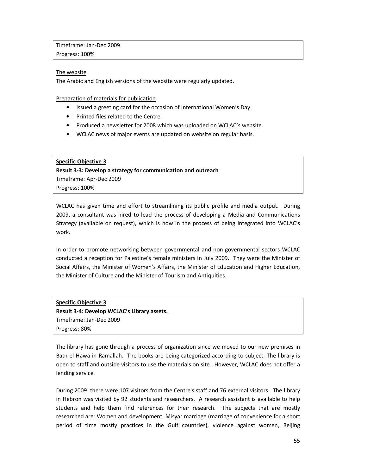Timeframe: Jan-Dec 2009 Progress: 100%

#### The website

The Arabic and English versions of the website were regularly updated.

Preparation of materials for publication

- Issued a greeting card for the occasion of International Women's Day.
- Printed files related to the Centre.
- Produced a newsletter for 2008 which was uploaded on WCLAC's website.
- WCLAC news of major events are updated on website on regular basis.

#### **Specific Objective 3**

**Result 3-3: Develop a strategy for communication and outreach**  Timeframe: Apr-Dec 2009 Progress: 100%

WCLAC has given time and effort to streamlining its public profile and media output. During 2009, a consultant was hired to lead the process of developing a Media and Communications Strategy (available on request), which is now in the process of being integrated into WCLAC's work.

In order to promote networking between governmental and non governmental sectors WCLAC conducted a reception for Palestine's female ministers in July 2009. They were the Minister of Social Affairs, the Minister of Women's Affairs, the Minister of Education and Higher Education, the Minister of Culture and the Minister of Tourism and Antiquities.

**Specific Objective 3 Result 3-4: Develop WCLAC's Library assets.**  Timeframe: Jan-Dec 2009 Progress: 80%

The library has gone through a process of organization since we moved to our new premises in Batn el-Hawa in Ramallah. The books are being categorized according to subject. The library is open to staff and outside visitors to use the materials on site. However, WCLAC does not offer a lending service.

During 2009 there were 107 visitors from the Centre's staff and 76 external visitors. The library in Hebron was visited by 92 students and researchers. A research assistant is available to help students and help them find references for their research. The subjects that are mostly researched are: Women and development, Misyar marriage (marriage of convenience for a short period of time mostly practices in the Gulf countries), violence against women, Beijing